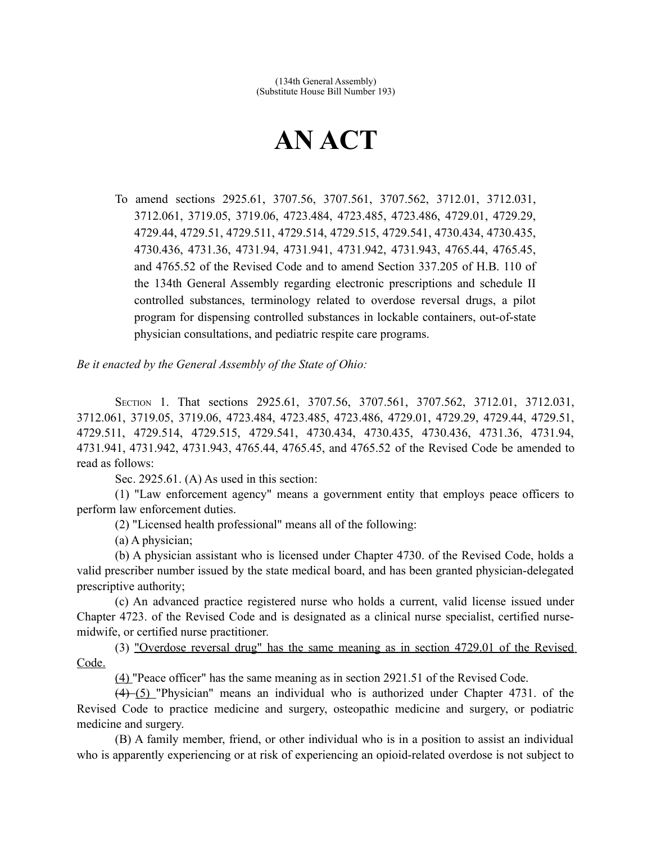## **AN ACT**

To amend sections 2925.61, 3707.56, 3707.561, 3707.562, 3712.01, 3712.031, 3712.061, 3719.05, 3719.06, 4723.484, 4723.485, 4723.486, 4729.01, 4729.29, 4729.44, 4729.51, 4729.511, 4729.514, 4729.515, 4729.541, 4730.434, 4730.435, 4730.436, 4731.36, 4731.94, 4731.941, 4731.942, 4731.943, 4765.44, 4765.45, and 4765.52 of the Revised Code and to amend Section 337.205 of H.B. 110 of the 134th General Assembly regarding electronic prescriptions and schedule II controlled substances, terminology related to overdose reversal drugs, a pilot program for dispensing controlled substances in lockable containers, out-of-state physician consultations, and pediatric respite care programs.

*Be it enacted by the General Assembly of the State of Ohio:*

SECTION 1. That sections 2925.61, 3707.56, 3707.561, 3707.562, 3712.01, 3712.031, 3712.061, 3719.05, 3719.06, 4723.484, 4723.485, 4723.486, 4729.01, 4729.29, 4729.44, 4729.51, 4729.511, 4729.514, 4729.515, 4729.541, 4730.434, 4730.435, 4730.436, 4731.36, 4731.94, 4731.941, 4731.942, 4731.943, 4765.44, 4765.45, and 4765.52 of the Revised Code be amended to read as follows:

Sec. 2925.61. (A) As used in this section:

(1) "Law enforcement agency" means a government entity that employs peace officers to perform law enforcement duties.

(2) "Licensed health professional" means all of the following:

(a) A physician;

(b) A physician assistant who is licensed under Chapter 4730. of the Revised Code, holds a valid prescriber number issued by the state medical board, and has been granted physician-delegated prescriptive authority;

(c) An advanced practice registered nurse who holds a current, valid license issued under Chapter 4723. of the Revised Code and is designated as a clinical nurse specialist, certified nursemidwife, or certified nurse practitioner.

(3) "Overdose reversal drug" has the same meaning as in section 4729.01 of the Revised Code.

(4) "Peace officer" has the same meaning as in section 2921.51 of the Revised Code.

(4) (5) "Physician" means an individual who is authorized under Chapter 4731. of the Revised Code to practice medicine and surgery, osteopathic medicine and surgery, or podiatric medicine and surgery.

(B) A family member, friend, or other individual who is in a position to assist an individual who is apparently experiencing or at risk of experiencing an opioid-related overdose is not subject to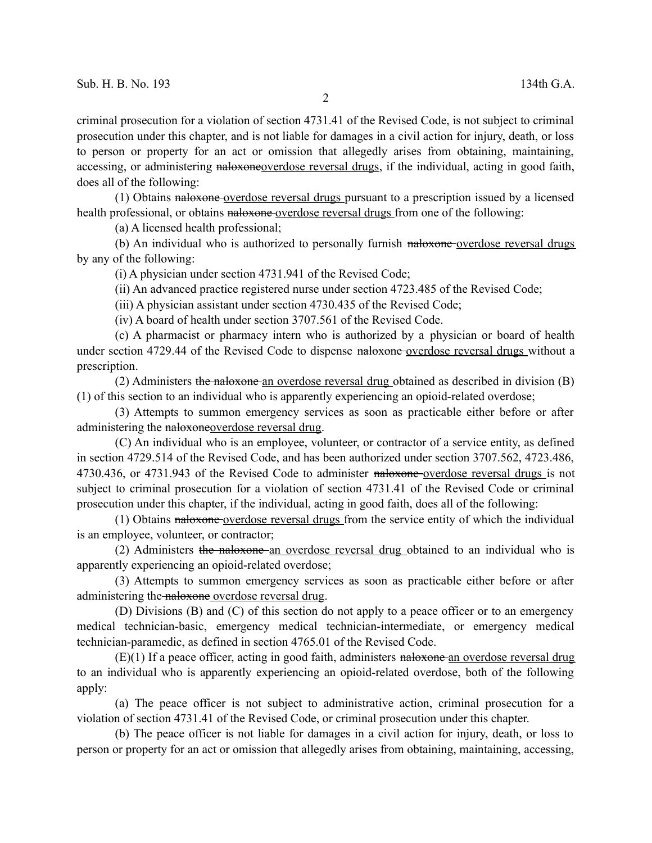criminal prosecution for a violation of section 4731.41 of the Revised Code, is not subject to criminal prosecution under this chapter, and is not liable for damages in a civil action for injury, death, or loss to person or property for an act or omission that allegedly arises from obtaining, maintaining, accessing, or administering naloxoneoverdose reversal drugs, if the individual, acting in good faith, does all of the following:

(1) Obtains naloxone overdose reversal drugs pursuant to a prescription issued by a licensed health professional, or obtains naloxone-overdose reversal drugs from one of the following:

(a) A licensed health professional;

(b) An individual who is authorized to personally furnish naloxone overdose reversal drugs by any of the following:

(i) A physician under section 4731.941 of the Revised Code;

(ii) An advanced practice registered nurse under section 4723.485 of the Revised Code;

(iii) A physician assistant under section 4730.435 of the Revised Code;

(iv) A board of health under section 3707.561 of the Revised Code.

(c) A pharmacist or pharmacy intern who is authorized by a physician or board of health under section 4729.44 of the Revised Code to dispense naloxone-overdose reversal drugs without a prescription.

(2) Administers the naloxone an overdose reversal drug obtained as described in division  $(B)$ (1) of this section to an individual who is apparently experiencing an opioid-related overdose;

(3) Attempts to summon emergency services as soon as practicable either before or after administering the naloxoneoverdose reversal drug.

(C) An individual who is an employee, volunteer, or contractor of a service entity, as defined in section 4729.514 of the Revised Code, and has been authorized under section 3707.562, 4723.486, 4730.436, or 4731.943 of the Revised Code to administer naloxone overdose reversal drugs is not subject to criminal prosecution for a violation of section 4731.41 of the Revised Code or criminal prosecution under this chapter, if the individual, acting in good faith, does all of the following:

(1) Obtains naloxone overdose reversal drugs from the service entity of which the individual is an employee, volunteer, or contractor;

(2) Administers the naloxone an overdose reversal drug obtained to an individual who is apparently experiencing an opioid-related overdose;

(3) Attempts to summon emergency services as soon as practicable either before or after administering the naloxone overdose reversal drug.

(D) Divisions (B) and (C) of this section do not apply to a peace officer or to an emergency medical technician-basic, emergency medical technician-intermediate, or emergency medical technician-paramedic, as defined in section 4765.01 of the Revised Code.

 $(E)(1)$  If a peace officer, acting in good faith, administers naloxone an overdose reversal drug to an individual who is apparently experiencing an opioid-related overdose, both of the following apply:

(a) The peace officer is not subject to administrative action, criminal prosecution for a violation of section 4731.41 of the Revised Code, or criminal prosecution under this chapter.

(b) The peace officer is not liable for damages in a civil action for injury, death, or loss to person or property for an act or omission that allegedly arises from obtaining, maintaining, accessing,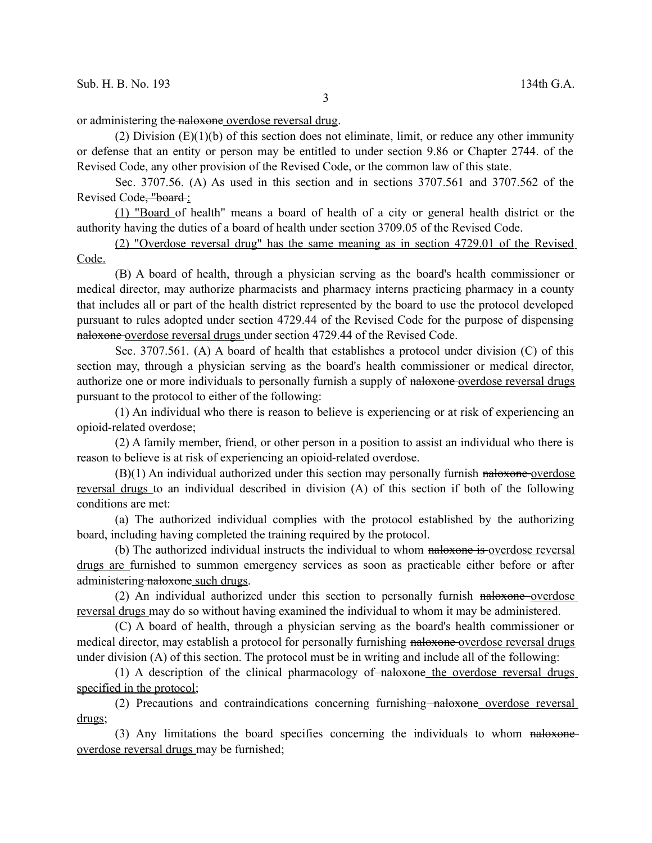or administering the naloxone overdose reversal drug.

(2) Division  $(E)(1)(b)$  of this section does not eliminate, limit, or reduce any other immunity or defense that an entity or person may be entitled to under section 9.86 or Chapter 2744. of the Revised Code, any other provision of the Revised Code, or the common law of this state.

Sec. 3707.56. (A) As used in this section and in sections 3707.561 and 3707.562 of the Revised Code, "board :

(1) "Board of health" means a board of health of a city or general health district or the authority having the duties of a board of health under section 3709.05 of the Revised Code.

(2) "Overdose reversal drug" has the same meaning as in section 4729.01 of the Revised Code.

(B) A board of health, through a physician serving as the board's health commissioner or medical director, may authorize pharmacists and pharmacy interns practicing pharmacy in a county that includes all or part of the health district represented by the board to use the protocol developed pursuant to rules adopted under section 4729.44 of the Revised Code for the purpose of dispensing naloxone overdose reversal drugs under section 4729.44 of the Revised Code.

Sec. 3707.561. (A) A board of health that establishes a protocol under division (C) of this section may, through a physician serving as the board's health commissioner or medical director, authorize one or more individuals to personally furnish a supply of naloxone-overdose reversal drugs pursuant to the protocol to either of the following:

(1) An individual who there is reason to believe is experiencing or at risk of experiencing an opioid-related overdose;

(2) A family member, friend, or other person in a position to assist an individual who there is reason to believe is at risk of experiencing an opioid-related overdose.

 $(B)(1)$  An individual authorized under this section may personally furnish naloxone-overdose reversal drugs to an individual described in division (A) of this section if both of the following conditions are met:

(a) The authorized individual complies with the protocol established by the authorizing board, including having completed the training required by the protocol.

(b) The authorized individual instructs the individual to whom naloxone is overdose reversal drugs are furnished to summon emergency services as soon as practicable either before or after administering naloxone such drugs.

(2) An individual authorized under this section to personally furnish naloxone overdose reversal drugs may do so without having examined the individual to whom it may be administered.

(C) A board of health, through a physician serving as the board's health commissioner or medical director, may establish a protocol for personally furnishing naloxone-overdose reversal drugs under division (A) of this section. The protocol must be in writing and include all of the following:

 $(1)$  A description of the clinical pharmacology of  $\alpha$ -naloxone the overdose reversal drugs specified in the protocol;

(2) Precautions and contraindications concerning furnishing naloxone overdose reversal drugs;

(3) Any limitations the board specifies concerning the individuals to whom naloxoneoverdose reversal drugs may be furnished;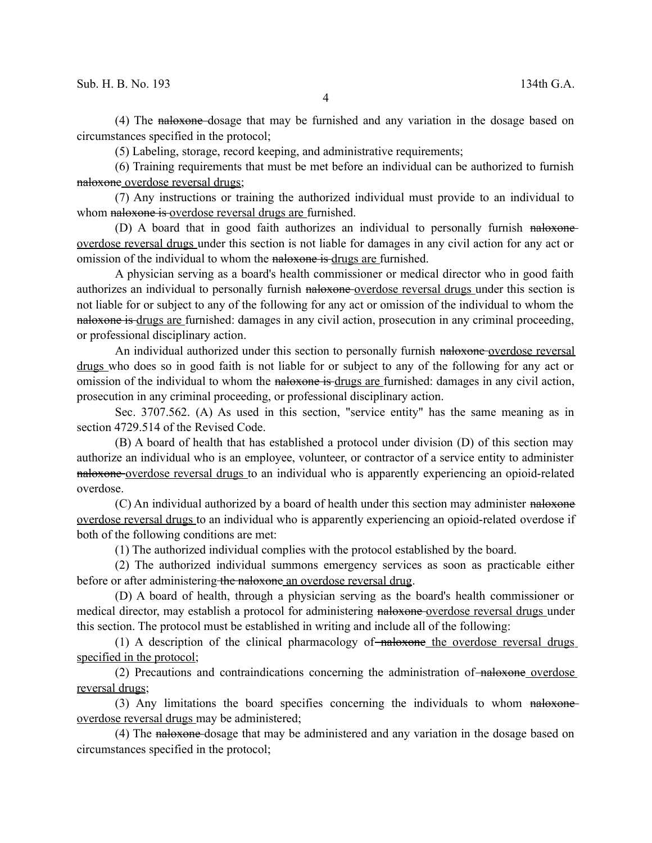(4) The naloxone dosage that may be furnished and any variation in the dosage based on circumstances specified in the protocol;

(5) Labeling, storage, record keeping, and administrative requirements;

(6) Training requirements that must be met before an individual can be authorized to furnish naloxone overdose reversal drugs;

(7) Any instructions or training the authorized individual must provide to an individual to whom naloxone is overdose reversal drugs are furnished.

(D) A board that in good faith authorizes an individual to personally furnish naloxoneoverdose reversal drugs under this section is not liable for damages in any civil action for any act or omission of the individual to whom the naloxone is drugs are furnished.

A physician serving as a board's health commissioner or medical director who in good faith authorizes an individual to personally furnish naloxone-overdose reversal drugs under this section is not liable for or subject to any of the following for any act or omission of the individual to whom the naloxone is drugs are furnished: damages in any civil action, prosecution in any criminal proceeding, or professional disciplinary action.

An individual authorized under this section to personally furnish naloxone-overdose reversal drugs who does so in good faith is not liable for or subject to any of the following for any act or omission of the individual to whom the naloxone is drugs are furnished: damages in any civil action, prosecution in any criminal proceeding, or professional disciplinary action.

Sec. 3707.562. (A) As used in this section, "service entity" has the same meaning as in section 4729.514 of the Revised Code.

(B) A board of health that has established a protocol under division (D) of this section may authorize an individual who is an employee, volunteer, or contractor of a service entity to administer naloxone overdose reversal drugs to an individual who is apparently experiencing an opioid-related overdose.

(C) An individual authorized by a board of health under this section may administer naloxone overdose reversal drugs to an individual who is apparently experiencing an opioid-related overdose if both of the following conditions are met:

(1) The authorized individual complies with the protocol established by the board.

(2) The authorized individual summons emergency services as soon as practicable either before or after administering the naloxone an overdose reversal drug.

(D) A board of health, through a physician serving as the board's health commissioner or medical director, may establish a protocol for administering naloxone overdose reversal drugs under this section. The protocol must be established in writing and include all of the following:

(1) A description of the clinical pharmacology of  $\frac{1}{2}$  and  $\frac{1}{2}$  are overdose reversal drugs specified in the protocol;

(2) Precautions and contraindications concerning the administration of naloxone overdose reversal drugs;

(3) Any limitations the board specifies concerning the individuals to whom naloxone overdose reversal drugs may be administered;

(4) The naloxone dosage that may be administered and any variation in the dosage based on circumstances specified in the protocol;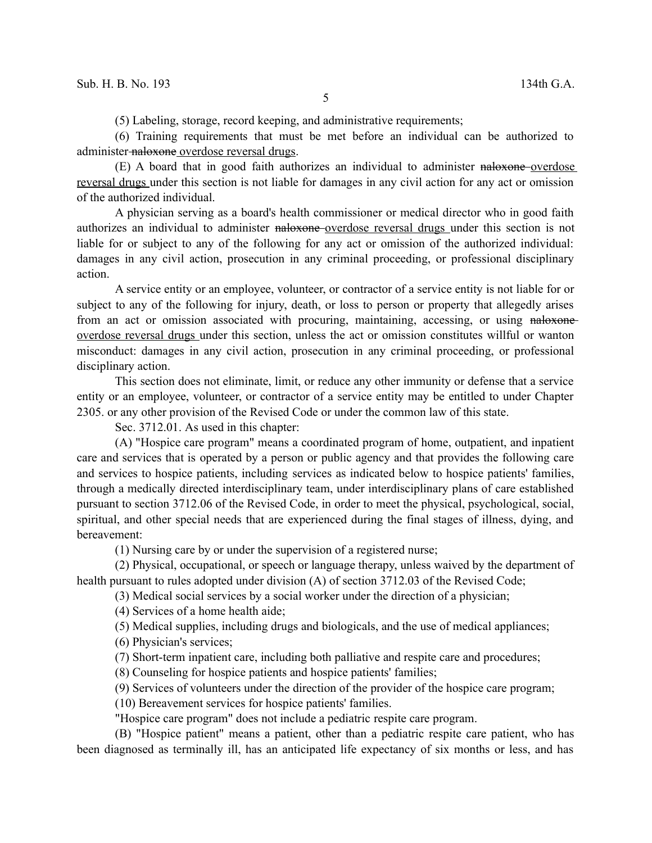(5) Labeling, storage, record keeping, and administrative requirements;

(6) Training requirements that must be met before an individual can be authorized to administer naloxone overdose reversal drugs.

(E) A board that in good faith authorizes an individual to administer naloxone overdose reversal drugs under this section is not liable for damages in any civil action for any act or omission of the authorized individual.

A physician serving as a board's health commissioner or medical director who in good faith authorizes an individual to administer naloxone overdose reversal drugs under this section is not liable for or subject to any of the following for any act or omission of the authorized individual: damages in any civil action, prosecution in any criminal proceeding, or professional disciplinary action.

A service entity or an employee, volunteer, or contractor of a service entity is not liable for or subject to any of the following for injury, death, or loss to person or property that allegedly arises from an act or omission associated with procuring, maintaining, accessing, or using naloxone overdose reversal drugs under this section, unless the act or omission constitutes willful or wanton misconduct: damages in any civil action, prosecution in any criminal proceeding, or professional disciplinary action.

This section does not eliminate, limit, or reduce any other immunity or defense that a service entity or an employee, volunteer, or contractor of a service entity may be entitled to under Chapter 2305. or any other provision of the Revised Code or under the common law of this state.

Sec. 3712.01. As used in this chapter:

(A) "Hospice care program" means a coordinated program of home, outpatient, and inpatient care and services that is operated by a person or public agency and that provides the following care and services to hospice patients, including services as indicated below to hospice patients' families, through a medically directed interdisciplinary team, under interdisciplinary plans of care established pursuant to section 3712.06 of the Revised Code, in order to meet the physical, psychological, social, spiritual, and other special needs that are experienced during the final stages of illness, dying, and bereavement:

(1) Nursing care by or under the supervision of a registered nurse;

(2) Physical, occupational, or speech or language therapy, unless waived by the department of health pursuant to rules adopted under division (A) of section 3712.03 of the Revised Code;

(3) Medical social services by a social worker under the direction of a physician;

(4) Services of a home health aide;

(5) Medical supplies, including drugs and biologicals, and the use of medical appliances;

(6) Physician's services;

(7) Short-term inpatient care, including both palliative and respite care and procedures;

(8) Counseling for hospice patients and hospice patients' families;

(9) Services of volunteers under the direction of the provider of the hospice care program;

(10) Bereavement services for hospice patients' families.

"Hospice care program" does not include a pediatric respite care program.

(B) "Hospice patient" means a patient, other than a pediatric respite care patient, who has been diagnosed as terminally ill, has an anticipated life expectancy of six months or less, and has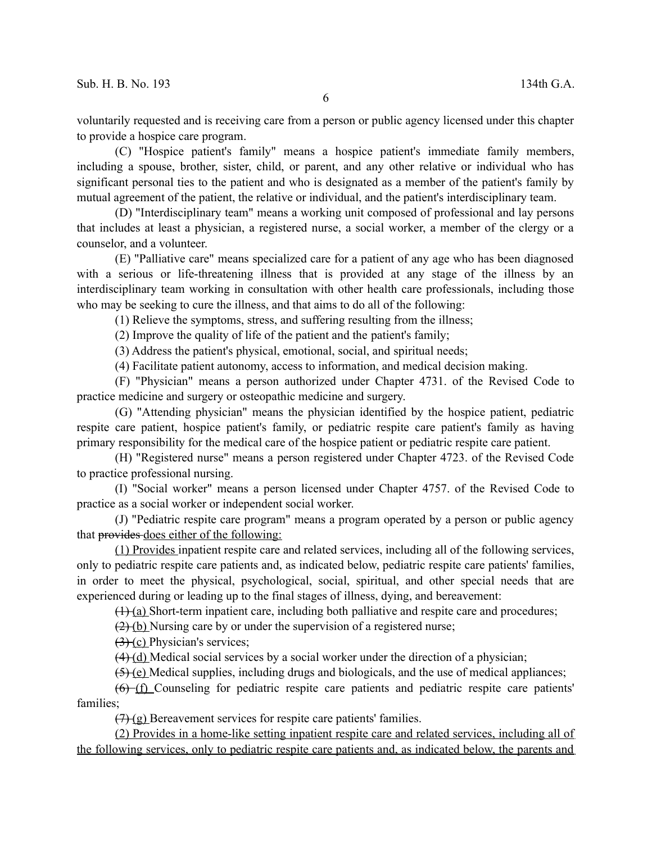voluntarily requested and is receiving care from a person or public agency licensed under this chapter to provide a hospice care program.

(C) "Hospice patient's family" means a hospice patient's immediate family members, including a spouse, brother, sister, child, or parent, and any other relative or individual who has significant personal ties to the patient and who is designated as a member of the patient's family by mutual agreement of the patient, the relative or individual, and the patient's interdisciplinary team.

(D) "Interdisciplinary team" means a working unit composed of professional and lay persons that includes at least a physician, a registered nurse, a social worker, a member of the clergy or a counselor, and a volunteer.

(E) "Palliative care" means specialized care for a patient of any age who has been diagnosed with a serious or life-threatening illness that is provided at any stage of the illness by an interdisciplinary team working in consultation with other health care professionals, including those who may be seeking to cure the illness, and that aims to do all of the following:

(1) Relieve the symptoms, stress, and suffering resulting from the illness;

(2) Improve the quality of life of the patient and the patient's family;

(3) Address the patient's physical, emotional, social, and spiritual needs;

(4) Facilitate patient autonomy, access to information, and medical decision making.

(F) "Physician" means a person authorized under Chapter 4731. of the Revised Code to practice medicine and surgery or osteopathic medicine and surgery.

(G) "Attending physician" means the physician identified by the hospice patient, pediatric respite care patient, hospice patient's family, or pediatric respite care patient's family as having primary responsibility for the medical care of the hospice patient or pediatric respite care patient.

(H) "Registered nurse" means a person registered under Chapter 4723. of the Revised Code to practice professional nursing.

(I) "Social worker" means a person licensed under Chapter 4757. of the Revised Code to practice as a social worker or independent social worker.

(J) "Pediatric respite care program" means a program operated by a person or public agency that provides does either of the following:

(1) Provides inpatient respite care and related services, including all of the following services, only to pediatric respite care patients and, as indicated below, pediatric respite care patients' families, in order to meet the physical, psychological, social, spiritual, and other special needs that are experienced during or leading up to the final stages of illness, dying, and bereavement:

 $(1)$  (a) Short-term inpatient care, including both palliative and respite care and procedures;

 $(2)$  (b) Nursing care by or under the supervision of a registered nurse;

 $(3)$  (c) Physician's services;

 $(4)$  (d) Medical social services by a social worker under the direction of a physician;

(5) (e) Medical supplies, including drugs and biologicals, and the use of medical appliances;

(6) (f) Counseling for pediatric respite care patients and pediatric respite care patients' families;

 $(7)$  (g) Bereavement services for respite care patients' families.

(2) Provides in a home-like setting inpatient respite care and related services, including all of the following services, only to pediatric respite care patients and, as indicated below, the parents and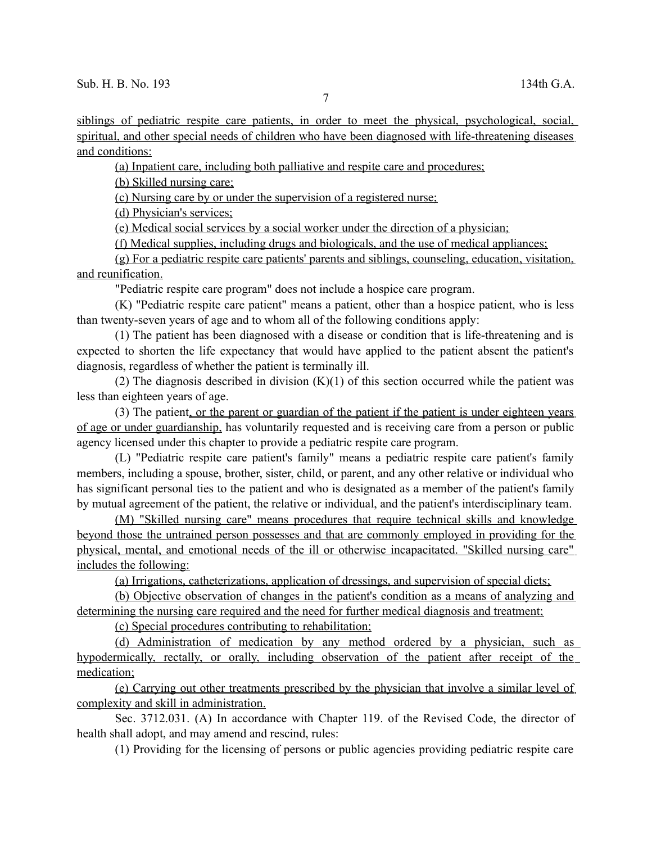siblings of pediatric respite care patients, in order to meet the physical, psychological, social, spiritual, and other special needs of children who have been diagnosed with life-threatening diseases and conditions:

(a) Inpatient care, including both palliative and respite care and procedures;

(b) Skilled nursing care;

(c) Nursing care by or under the supervision of a registered nurse;

(d) Physician's services;

(e) Medical social services by a social worker under the direction of a physician;

(f) Medical supplies, including drugs and biologicals, and the use of medical appliances;

(g) For a pediatric respite care patients' parents and siblings, counseling, education, visitation, and reunification.

"Pediatric respite care program" does not include a hospice care program.

(K) "Pediatric respite care patient" means a patient, other than a hospice patient, who is less than twenty-seven years of age and to whom all of the following conditions apply:

(1) The patient has been diagnosed with a disease or condition that is life-threatening and is expected to shorten the life expectancy that would have applied to the patient absent the patient's diagnosis, regardless of whether the patient is terminally ill.

(2) The diagnosis described in division  $(K)(1)$  of this section occurred while the patient was less than eighteen years of age.

(3) The patient, or the parent or guardian of the patient if the patient is under eighteen years of age or under guardianship, has voluntarily requested and is receiving care from a person or public agency licensed under this chapter to provide a pediatric respite care program.

(L) "Pediatric respite care patient's family" means a pediatric respite care patient's family members, including a spouse, brother, sister, child, or parent, and any other relative or individual who has significant personal ties to the patient and who is designated as a member of the patient's family by mutual agreement of the patient, the relative or individual, and the patient's interdisciplinary team.

(M) "Skilled nursing care" means procedures that require technical skills and knowledge beyond those the untrained person possesses and that are commonly employed in providing for the physical, mental, and emotional needs of the ill or otherwise incapacitated. "Skilled nursing care" includes the following:

(a) Irrigations, catheterizations, application of dressings, and supervision of special diets;

(b) Objective observation of changes in the patient's condition as a means of analyzing and determining the nursing care required and the need for further medical diagnosis and treatment;

(c) Special procedures contributing to rehabilitation;

(d) Administration of medication by any method ordered by a physician, such as hypodermically, rectally, or orally, including observation of the patient after receipt of the medication;

(e) Carrying out other treatments prescribed by the physician that involve a similar level of complexity and skill in administration.

Sec. 3712.031. (A) In accordance with Chapter 119. of the Revised Code, the director of health shall adopt, and may amend and rescind, rules:

(1) Providing for the licensing of persons or public agencies providing pediatric respite care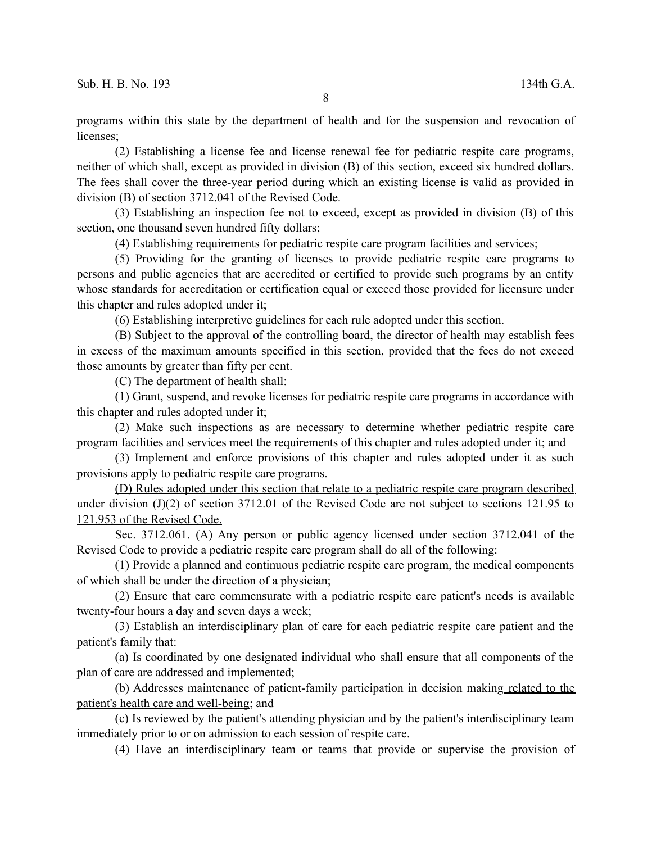programs within this state by the department of health and for the suspension and revocation of licenses;

(2) Establishing a license fee and license renewal fee for pediatric respite care programs, neither of which shall, except as provided in division (B) of this section, exceed six hundred dollars. The fees shall cover the three-year period during which an existing license is valid as provided in division (B) of section 3712.041 of the Revised Code.

(3) Establishing an inspection fee not to exceed, except as provided in division (B) of this section, one thousand seven hundred fifty dollars;

(4) Establishing requirements for pediatric respite care program facilities and services;

(5) Providing for the granting of licenses to provide pediatric respite care programs to persons and public agencies that are accredited or certified to provide such programs by an entity whose standards for accreditation or certification equal or exceed those provided for licensure under this chapter and rules adopted under it;

(6) Establishing interpretive guidelines for each rule adopted under this section.

(B) Subject to the approval of the controlling board, the director of health may establish fees in excess of the maximum amounts specified in this section, provided that the fees do not exceed those amounts by greater than fifty per cent.

(C) The department of health shall:

(1) Grant, suspend, and revoke licenses for pediatric respite care programs in accordance with this chapter and rules adopted under it;

(2) Make such inspections as are necessary to determine whether pediatric respite care program facilities and services meet the requirements of this chapter and rules adopted under it; and

(3) Implement and enforce provisions of this chapter and rules adopted under it as such provisions apply to pediatric respite care programs.

(D) Rules adopted under this section that relate to a pediatric respite care program described under division (J)(2) of section 3712.01 of the Revised Code are not subject to sections 121.95 to 121.953 of the Revised Code.

Sec. 3712.061. (A) Any person or public agency licensed under section 3712.041 of the Revised Code to provide a pediatric respite care program shall do all of the following:

(1) Provide a planned and continuous pediatric respite care program, the medical components of which shall be under the direction of a physician;

(2) Ensure that care commensurate with a pediatric respite care patient's needs is available twenty-four hours a day and seven days a week;

(3) Establish an interdisciplinary plan of care for each pediatric respite care patient and the patient's family that:

(a) Is coordinated by one designated individual who shall ensure that all components of the plan of care are addressed and implemented;

(b) Addresses maintenance of patient-family participation in decision making related to the patient's health care and well-being; and

(c) Is reviewed by the patient's attending physician and by the patient's interdisciplinary team immediately prior to or on admission to each session of respite care.

(4) Have an interdisciplinary team or teams that provide or supervise the provision of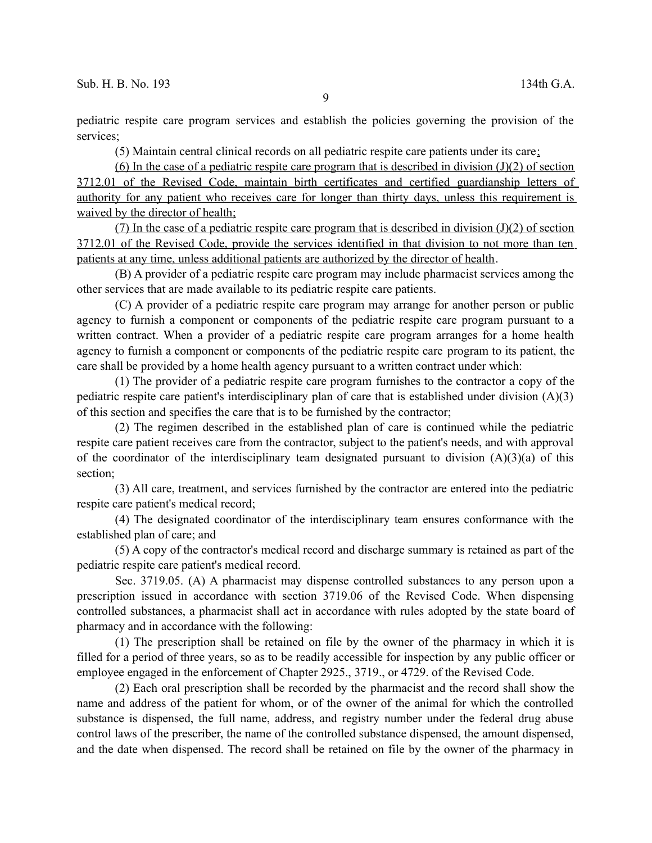pediatric respite care program services and establish the policies governing the provision of the services;

(5) Maintain central clinical records on all pediatric respite care patients under its care;

(6) In the case of a pediatric respite care program that is described in division  $(J)(2)$  of section 3712.01 of the Revised Code, maintain birth certificates and certified guardianship letters of authority for any patient who receives care for longer than thirty days, unless this requirement is waived by the director of health;

(7) In the case of a pediatric respite care program that is described in division  $(J)(2)$  of section 3712.01 of the Revised Code, provide the services identified in that division to not more than ten patients at any time, unless additional patients are authorized by the director of health.

(B) A provider of a pediatric respite care program may include pharmacist services among the other services that are made available to its pediatric respite care patients.

(C) A provider of a pediatric respite care program may arrange for another person or public agency to furnish a component or components of the pediatric respite care program pursuant to a written contract. When a provider of a pediatric respite care program arranges for a home health agency to furnish a component or components of the pediatric respite care program to its patient, the care shall be provided by a home health agency pursuant to a written contract under which:

(1) The provider of a pediatric respite care program furnishes to the contractor a copy of the pediatric respite care patient's interdisciplinary plan of care that is established under division (A)(3) of this section and specifies the care that is to be furnished by the contractor;

(2) The regimen described in the established plan of care is continued while the pediatric respite care patient receives care from the contractor, subject to the patient's needs, and with approval of the coordinator of the interdisciplinary team designated pursuant to division  $(A)(3)(a)$  of this section;

(3) All care, treatment, and services furnished by the contractor are entered into the pediatric respite care patient's medical record;

(4) The designated coordinator of the interdisciplinary team ensures conformance with the established plan of care; and

(5) A copy of the contractor's medical record and discharge summary is retained as part of the pediatric respite care patient's medical record.

Sec. 3719.05. (A) A pharmacist may dispense controlled substances to any person upon a prescription issued in accordance with section 3719.06 of the Revised Code. When dispensing controlled substances, a pharmacist shall act in accordance with rules adopted by the state board of pharmacy and in accordance with the following:

(1) The prescription shall be retained on file by the owner of the pharmacy in which it is filled for a period of three years, so as to be readily accessible for inspection by any public officer or employee engaged in the enforcement of Chapter 2925., 3719., or 4729. of the Revised Code.

(2) Each oral prescription shall be recorded by the pharmacist and the record shall show the name and address of the patient for whom, or of the owner of the animal for which the controlled substance is dispensed, the full name, address, and registry number under the federal drug abuse control laws of the prescriber, the name of the controlled substance dispensed, the amount dispensed, and the date when dispensed. The record shall be retained on file by the owner of the pharmacy in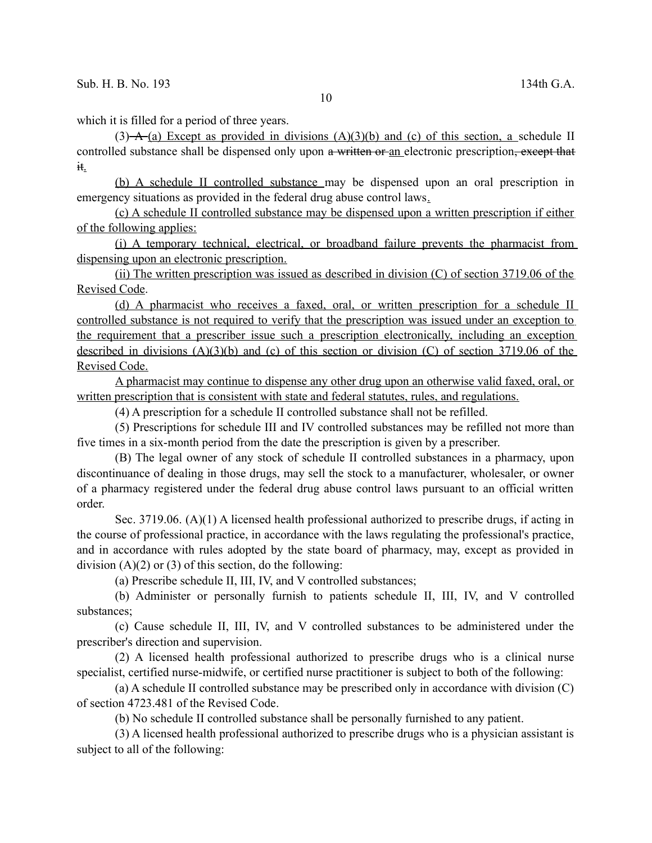which it is filled for a period of three years.

 $(3)$  A  $(a)$  Except as provided in divisions  $(A)(3)(b)$  and  $(c)$  of this section, a schedule II controlled substance shall be dispensed only upon a written or an electronic prescription, except that it.

(b) A schedule II controlled substance may be dispensed upon an oral prescription in emergency situations as provided in the federal drug abuse control laws.

(c) A schedule II controlled substance may be dispensed upon a written prescription if either of the following applies:

(i) A temporary technical, electrical, or broadband failure prevents the pharmacist from dispensing upon an electronic prescription.

(ii) The written prescription was issued as described in division  $(C)$  of section 3719.06 of the Revised Code.

(d) A pharmacist who receives a faxed, oral, or written prescription for a schedule II controlled substance is not required to verify that the prescription was issued under an exception to the requirement that a prescriber issue such a prescription electronically, including an exception described in divisions  $(A)(3)(b)$  and (c) of this section or division (C) of section 3719.06 of the Revised Code.

A pharmacist may continue to dispense any other drug upon an otherwise valid faxed, oral, or written prescription that is consistent with state and federal statutes, rules, and regulations.

(4) A prescription for a schedule II controlled substance shall not be refilled.

(5) Prescriptions for schedule III and IV controlled substances may be refilled not more than five times in a six-month period from the date the prescription is given by a prescriber.

(B) The legal owner of any stock of schedule II controlled substances in a pharmacy, upon discontinuance of dealing in those drugs, may sell the stock to a manufacturer, wholesaler, or owner of a pharmacy registered under the federal drug abuse control laws pursuant to an official written order.

Sec. 3719.06.  $(A)(1)$  A licensed health professional authorized to prescribe drugs, if acting in the course of professional practice, in accordance with the laws regulating the professional's practice, and in accordance with rules adopted by the state board of pharmacy, may, except as provided in division  $(A)(2)$  or  $(3)$  of this section, do the following:

(a) Prescribe schedule II, III, IV, and V controlled substances;

(b) Administer or personally furnish to patients schedule II, III, IV, and V controlled substances;

(c) Cause schedule II, III, IV, and V controlled substances to be administered under the prescriber's direction and supervision.

(2) A licensed health professional authorized to prescribe drugs who is a clinical nurse specialist, certified nurse-midwife, or certified nurse practitioner is subject to both of the following:

(a) A schedule II controlled substance may be prescribed only in accordance with division (C) of section 4723.481 of the Revised Code.

(b) No schedule II controlled substance shall be personally furnished to any patient.

(3) A licensed health professional authorized to prescribe drugs who is a physician assistant is subject to all of the following: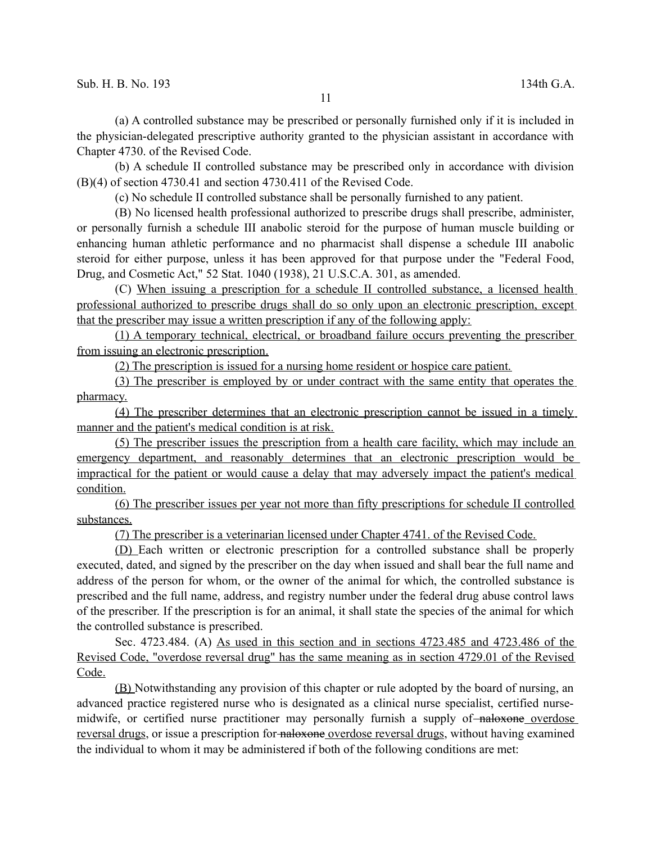(a) A controlled substance may be prescribed or personally furnished only if it is included in the physician-delegated prescriptive authority granted to the physician assistant in accordance with Chapter 4730. of the Revised Code.

(b) A schedule II controlled substance may be prescribed only in accordance with division (B)(4) of section 4730.41 and section 4730.411 of the Revised Code.

(c) No schedule II controlled substance shall be personally furnished to any patient.

(B) No licensed health professional authorized to prescribe drugs shall prescribe, administer, or personally furnish a schedule III anabolic steroid for the purpose of human muscle building or enhancing human athletic performance and no pharmacist shall dispense a schedule III anabolic steroid for either purpose, unless it has been approved for that purpose under the "Federal Food, Drug, and Cosmetic Act," 52 Stat. 1040 (1938), 21 U.S.C.A. 301, as amended.

(C) When issuing a prescription for a schedule II controlled substance, a licensed health professional authorized to prescribe drugs shall do so only upon an electronic prescription, except that the prescriber may issue a written prescription if any of the following apply:

(1) A temporary technical, electrical, or broadband failure occurs preventing the prescriber from issuing an electronic prescription.

(2) The prescription is issued for a nursing home resident or hospice care patient.

(3) The prescriber is employed by or under contract with the same entity that operates the pharmacy.

(4) The prescriber determines that an electronic prescription cannot be issued in a timely manner and the patient's medical condition is at risk.

(5) The prescriber issues the prescription from a health care facility, which may include an emergency department, and reasonably determines that an electronic prescription would be impractical for the patient or would cause a delay that may adversely impact the patient's medical condition.

(6) The prescriber issues per year not more than fifty prescriptions for schedule II controlled substances.

(7) The prescriber is a veterinarian licensed under Chapter 4741. of the Revised Code.

(D) Each written or electronic prescription for a controlled substance shall be properly executed, dated, and signed by the prescriber on the day when issued and shall bear the full name and address of the person for whom, or the owner of the animal for which, the controlled substance is prescribed and the full name, address, and registry number under the federal drug abuse control laws of the prescriber. If the prescription is for an animal, it shall state the species of the animal for which the controlled substance is prescribed.

Sec. 4723.484. (A) As used in this section and in sections 4723.485 and 4723.486 of the Revised Code, "overdose reversal drug" has the same meaning as in section 4729.01 of the Revised Code.

(B) Notwithstanding any provision of this chapter or rule adopted by the board of nursing, an advanced practice registered nurse who is designated as a clinical nurse specialist, certified nursemidwife, or certified nurse practitioner may personally furnish a supply of naloxone overdose reversal drugs, or issue a prescription for naloxone overdose reversal drugs, without having examined the individual to whom it may be administered if both of the following conditions are met: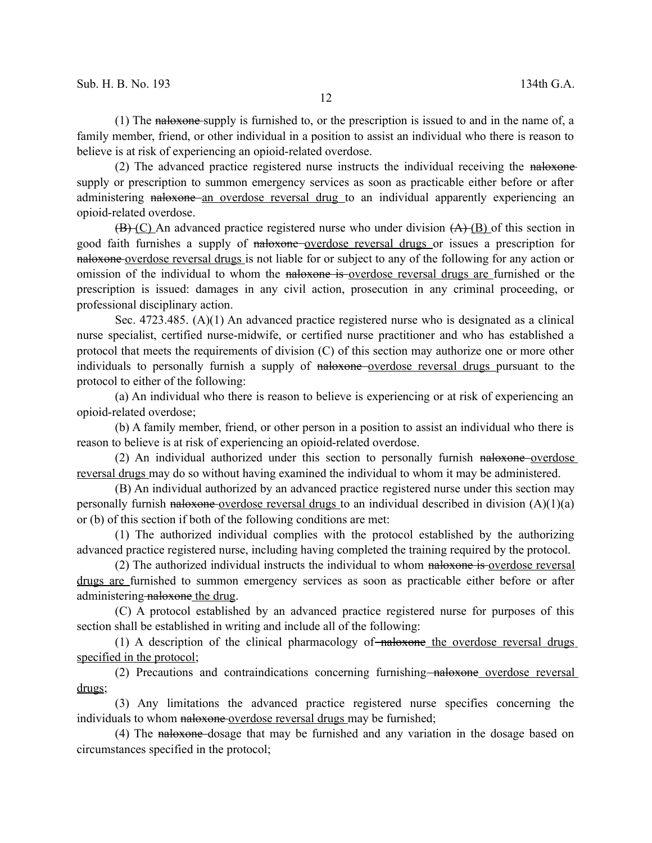(1) The naloxone supply is furnished to, or the prescription is issued to and in the name of, a family member, friend, or other individual in a position to assist an individual who there is reason to believe is at risk of experiencing an opioid-related overdose.

(2) The advanced practice registered nurse instructs the individual receiving the naloxone supply or prescription to summon emergency services as soon as practicable either before or after administering naloxone an overdose reversal drug to an individual apparently experiencing an opioid-related overdose.

 $(\overline{B}(\overline{C})$  An advanced practice registered nurse who under division  $(A)(\overline{B})$  of this section in good faith furnishes a supply of naloxone overdose reversal drugs or issues a prescription for naloxone overdose reversal drugs is not liable for or subject to any of the following for any action or omission of the individual to whom the naloxone is overdose reversal drugs are furnished or the prescription is issued: damages in any civil action, prosecution in any criminal proceeding, or professional disciplinary action.

Sec. 4723.485. (A)(1) An advanced practice registered nurse who is designated as a clinical nurse specialist, certified nurse-midwife, or certified nurse practitioner and who has established a protocol that meets the requirements of division (C) of this section may authorize one or more other individuals to personally furnish a supply of naloxone-overdose reversal drugs pursuant to the protocol to either of the following:

(a) An individual who there is reason to believe is experiencing or at risk of experiencing an opioid-related overdose;

(b) A family member, friend, or other person in a position to assist an individual who there is reason to believe is at risk of experiencing an opioid-related overdose.

(2) An individual authorized under this section to personally furnish naloxone overdose reversal drugs may do so without having examined the individual to whom it may be administered.

(B) An individual authorized by an advanced practice registered nurse under this section may personally furnish naloxone-overdose reversal drugs to an individual described in division  $(A)(1)(a)$ or (b) of this section if both of the following conditions are met:

(1) The authorized individual complies with the protocol established by the authorizing advanced practice registered nurse, including having completed the training required by the protocol.

(2) The authorized individual instructs the individual to whom naloxone is overdose reversal drugs are furnished to summon emergency services as soon as practicable either before or after administering naloxone the drug.

(C) A protocol established by an advanced practice registered nurse for purposes of this section shall be established in writing and include all of the following:

(1) A description of the clinical pharmacology of  $\frac{1}{2}$  and  $\frac{1}{2}$  are overdose reversal drugs specified in the protocol;

(2) Precautions and contraindications concerning furnishing naloxone overdose reversal drugs;

(3) Any limitations the advanced practice registered nurse specifies concerning the individuals to whom naloxone overdose reversal drugs may be furnished;

(4) The naloxone dosage that may be furnished and any variation in the dosage based on circumstances specified in the protocol;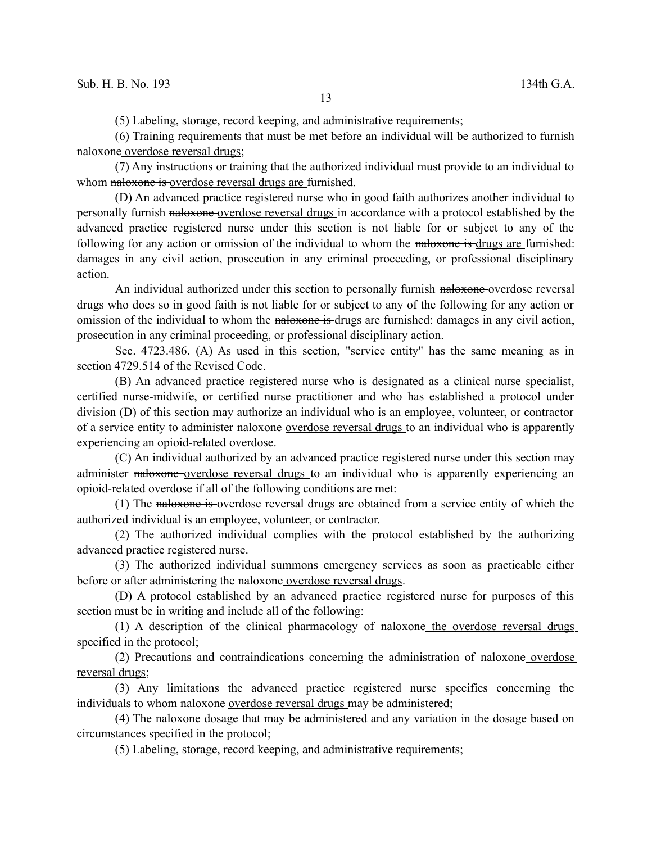(5) Labeling, storage, record keeping, and administrative requirements;

(6) Training requirements that must be met before an individual will be authorized to furnish naloxone overdose reversal drugs;

(7) Any instructions or training that the authorized individual must provide to an individual to whom naloxone is overdose reversal drugs are furnished.

(D) An advanced practice registered nurse who in good faith authorizes another individual to personally furnish naloxone overdose reversal drugs in accordance with a protocol established by the advanced practice registered nurse under this section is not liable for or subject to any of the following for any action or omission of the individual to whom the naloxone is drugs are furnished: damages in any civil action, prosecution in any criminal proceeding, or professional disciplinary action.

An individual authorized under this section to personally furnish naloxone-overdose reversal drugs who does so in good faith is not liable for or subject to any of the following for any action or omission of the individual to whom the naloxone is drugs are furnished: damages in any civil action, prosecution in any criminal proceeding, or professional disciplinary action.

Sec. 4723.486. (A) As used in this section, "service entity" has the same meaning as in section 4729.514 of the Revised Code.

(B) An advanced practice registered nurse who is designated as a clinical nurse specialist, certified nurse-midwife, or certified nurse practitioner and who has established a protocol under division (D) of this section may authorize an individual who is an employee, volunteer, or contractor of a service entity to administer naloxone overdose reversal drugs to an individual who is apparently experiencing an opioid-related overdose.

(C) An individual authorized by an advanced practice registered nurse under this section may administer naloxone overdose reversal drugs to an individual who is apparently experiencing an opioid-related overdose if all of the following conditions are met:

(1) The naloxone is overdose reversal drugs are obtained from a service entity of which the authorized individual is an employee, volunteer, or contractor.

(2) The authorized individual complies with the protocol established by the authorizing advanced practice registered nurse.

(3) The authorized individual summons emergency services as soon as practicable either before or after administering the naloxone overdose reversal drugs.

(D) A protocol established by an advanced practice registered nurse for purposes of this section must be in writing and include all of the following:

 $(1)$  A description of the clinical pharmacology of  $\overline{\phantom{a}}$  naloxone the overdose reversal drugs specified in the protocol;

 $(2)$  Precautions and contraindications concerning the administration of  $\overline{\phantom{a}}$  naloxone overdose reversal drugs;

(3) Any limitations the advanced practice registered nurse specifies concerning the individuals to whom naloxone overdose reversal drugs may be administered;

(4) The naloxone dosage that may be administered and any variation in the dosage based on circumstances specified in the protocol;

(5) Labeling, storage, record keeping, and administrative requirements;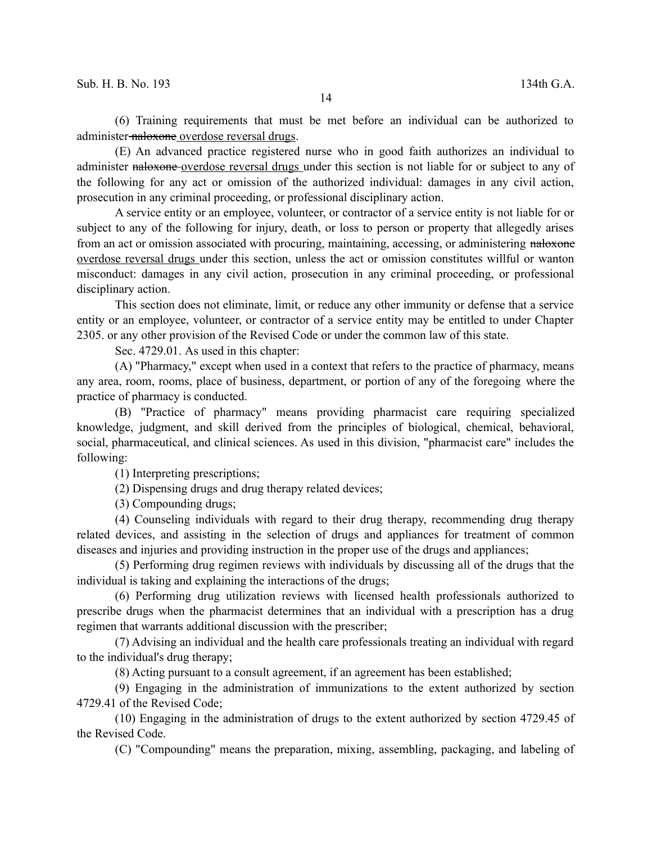(6) Training requirements that must be met before an individual can be authorized to administer-naloxone overdose reversal drugs.

(E) An advanced practice registered nurse who in good faith authorizes an individual to administer naloxone overdose reversal drugs under this section is not liable for or subject to any of the following for any act or omission of the authorized individual: damages in any civil action, prosecution in any criminal proceeding, or professional disciplinary action.

A service entity or an employee, volunteer, or contractor of a service entity is not liable for or subject to any of the following for injury, death, or loss to person or property that allegedly arises from an act or omission associated with procuring, maintaining, accessing, or administering naloxone overdose reversal drugs under this section, unless the act or omission constitutes willful or wanton misconduct: damages in any civil action, prosecution in any criminal proceeding, or professional disciplinary action.

This section does not eliminate, limit, or reduce any other immunity or defense that a service entity or an employee, volunteer, or contractor of a service entity may be entitled to under Chapter 2305. or any other provision of the Revised Code or under the common law of this state.

Sec. 4729.01. As used in this chapter:

(A) "Pharmacy," except when used in a context that refers to the practice of pharmacy, means any area, room, rooms, place of business, department, or portion of any of the foregoing where the practice of pharmacy is conducted.

(B) "Practice of pharmacy" means providing pharmacist care requiring specialized knowledge, judgment, and skill derived from the principles of biological, chemical, behavioral, social, pharmaceutical, and clinical sciences. As used in this division, "pharmacist care" includes the following:

(1) Interpreting prescriptions;

(2) Dispensing drugs and drug therapy related devices;

(3) Compounding drugs;

(4) Counseling individuals with regard to their drug therapy, recommending drug therapy related devices, and assisting in the selection of drugs and appliances for treatment of common diseases and injuries and providing instruction in the proper use of the drugs and appliances;

(5) Performing drug regimen reviews with individuals by discussing all of the drugs that the individual is taking and explaining the interactions of the drugs;

(6) Performing drug utilization reviews with licensed health professionals authorized to prescribe drugs when the pharmacist determines that an individual with a prescription has a drug regimen that warrants additional discussion with the prescriber;

(7) Advising an individual and the health care professionals treating an individual with regard to the individual's drug therapy;

(8) Acting pursuant to a consult agreement, if an agreement has been established;

(9) Engaging in the administration of immunizations to the extent authorized by section 4729.41 of the Revised Code;

(10) Engaging in the administration of drugs to the extent authorized by section 4729.45 of the Revised Code.

(C) "Compounding" means the preparation, mixing, assembling, packaging, and labeling of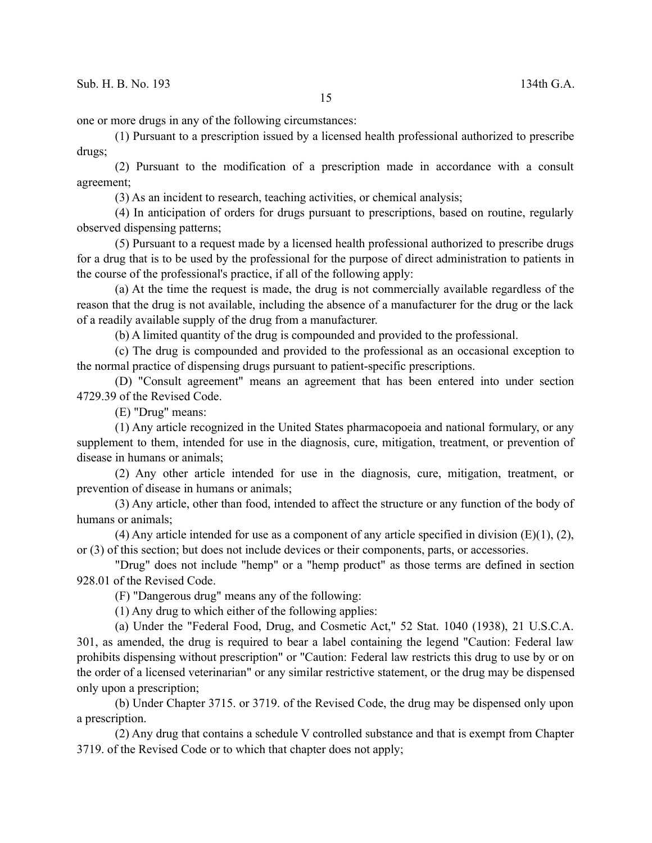one or more drugs in any of the following circumstances:

(1) Pursuant to a prescription issued by a licensed health professional authorized to prescribe drugs;

(2) Pursuant to the modification of a prescription made in accordance with a consult agreement;

(3) As an incident to research, teaching activities, or chemical analysis;

(4) In anticipation of orders for drugs pursuant to prescriptions, based on routine, regularly observed dispensing patterns;

(5) Pursuant to a request made by a licensed health professional authorized to prescribe drugs for a drug that is to be used by the professional for the purpose of direct administration to patients in the course of the professional's practice, if all of the following apply:

(a) At the time the request is made, the drug is not commercially available regardless of the reason that the drug is not available, including the absence of a manufacturer for the drug or the lack of a readily available supply of the drug from a manufacturer.

(b) A limited quantity of the drug is compounded and provided to the professional.

(c) The drug is compounded and provided to the professional as an occasional exception to the normal practice of dispensing drugs pursuant to patient-specific prescriptions.

(D) "Consult agreement" means an agreement that has been entered into under section 4729.39 of the Revised Code.

(E) "Drug" means:

(1) Any article recognized in the United States pharmacopoeia and national formulary, or any supplement to them, intended for use in the diagnosis, cure, mitigation, treatment, or prevention of disease in humans or animals;

(2) Any other article intended for use in the diagnosis, cure, mitigation, treatment, or prevention of disease in humans or animals;

(3) Any article, other than food, intended to affect the structure or any function of the body of humans or animals;

(4) Any article intended for use as a component of any article specified in division  $(E)(1)$ ,  $(2)$ , or (3) of this section; but does not include devices or their components, parts, or accessories.

"Drug" does not include "hemp" or a "hemp product" as those terms are defined in section 928.01 of the Revised Code.

(F) "Dangerous drug" means any of the following:

(1) Any drug to which either of the following applies:

(a) Under the "Federal Food, Drug, and Cosmetic Act," 52 Stat. 1040 (1938), 21 U.S.C.A. 301, as amended, the drug is required to bear a label containing the legend "Caution: Federal law prohibits dispensing without prescription" or "Caution: Federal law restricts this drug to use by or on the order of a licensed veterinarian" or any similar restrictive statement, or the drug may be dispensed only upon a prescription;

(b) Under Chapter 3715. or 3719. of the Revised Code, the drug may be dispensed only upon a prescription.

(2) Any drug that contains a schedule V controlled substance and that is exempt from Chapter 3719. of the Revised Code or to which that chapter does not apply;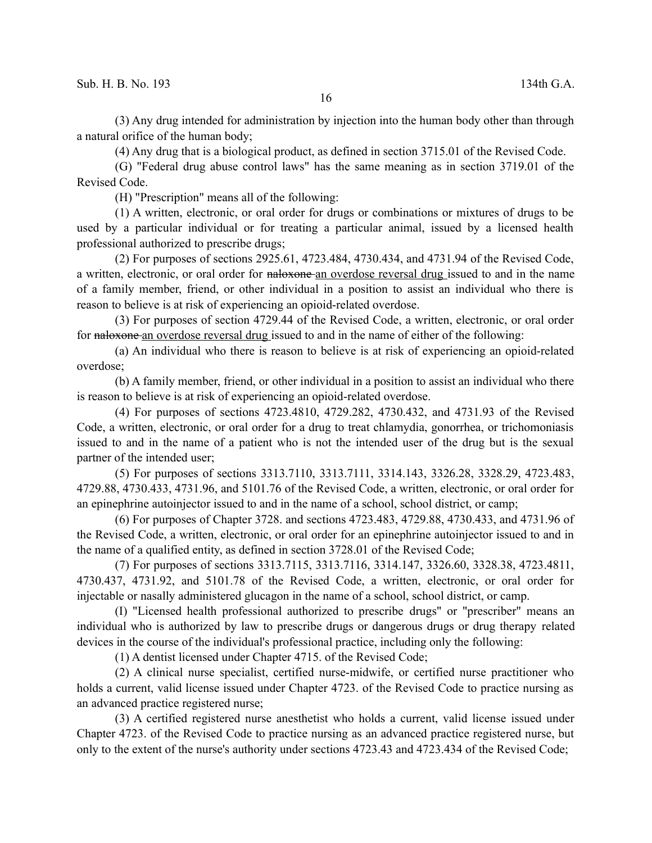(3) Any drug intended for administration by injection into the human body other than through a natural orifice of the human body;

(4) Any drug that is a biological product, as defined in section 3715.01 of the Revised Code.

(G) "Federal drug abuse control laws" has the same meaning as in section 3719.01 of the Revised Code.

(H) "Prescription" means all of the following:

(1) A written, electronic, or oral order for drugs or combinations or mixtures of drugs to be used by a particular individual or for treating a particular animal, issued by a licensed health professional authorized to prescribe drugs;

(2) For purposes of sections 2925.61, 4723.484, 4730.434, and 4731.94 of the Revised Code, a written, electronic, or oral order for naloxone an overdose reversal drug issued to and in the name of a family member, friend, or other individual in a position to assist an individual who there is reason to believe is at risk of experiencing an opioid-related overdose.

(3) For purposes of section 4729.44 of the Revised Code, a written, electronic, or oral order for naloxone an overdose reversal drug issued to and in the name of either of the following:

(a) An individual who there is reason to believe is at risk of experiencing an opioid-related overdose;

(b) A family member, friend, or other individual in a position to assist an individual who there is reason to believe is at risk of experiencing an opioid-related overdose.

(4) For purposes of sections 4723.4810, 4729.282, 4730.432, and 4731.93 of the Revised Code, a written, electronic, or oral order for a drug to treat chlamydia, gonorrhea, or trichomoniasis issued to and in the name of a patient who is not the intended user of the drug but is the sexual partner of the intended user;

(5) For purposes of sections 3313.7110, 3313.7111, 3314.143, 3326.28, 3328.29, 4723.483, 4729.88, 4730.433, 4731.96, and 5101.76 of the Revised Code, a written, electronic, or oral order for an epinephrine autoinjector issued to and in the name of a school, school district, or camp;

(6) For purposes of Chapter 3728. and sections 4723.483, 4729.88, 4730.433, and 4731.96 of the Revised Code, a written, electronic, or oral order for an epinephrine autoinjector issued to and in the name of a qualified entity, as defined in section 3728.01 of the Revised Code;

(7) For purposes of sections 3313.7115, 3313.7116, 3314.147, 3326.60, 3328.38, 4723.4811, 4730.437, 4731.92, and 5101.78 of the Revised Code, a written, electronic, or oral order for injectable or nasally administered glucagon in the name of a school, school district, or camp.

(I) "Licensed health professional authorized to prescribe drugs" or "prescriber" means an individual who is authorized by law to prescribe drugs or dangerous drugs or drug therapy related devices in the course of the individual's professional practice, including only the following:

(1) A dentist licensed under Chapter 4715. of the Revised Code;

(2) A clinical nurse specialist, certified nurse-midwife, or certified nurse practitioner who holds a current, valid license issued under Chapter 4723. of the Revised Code to practice nursing as an advanced practice registered nurse;

(3) A certified registered nurse anesthetist who holds a current, valid license issued under Chapter 4723. of the Revised Code to practice nursing as an advanced practice registered nurse, but only to the extent of the nurse's authority under sections 4723.43 and 4723.434 of the Revised Code;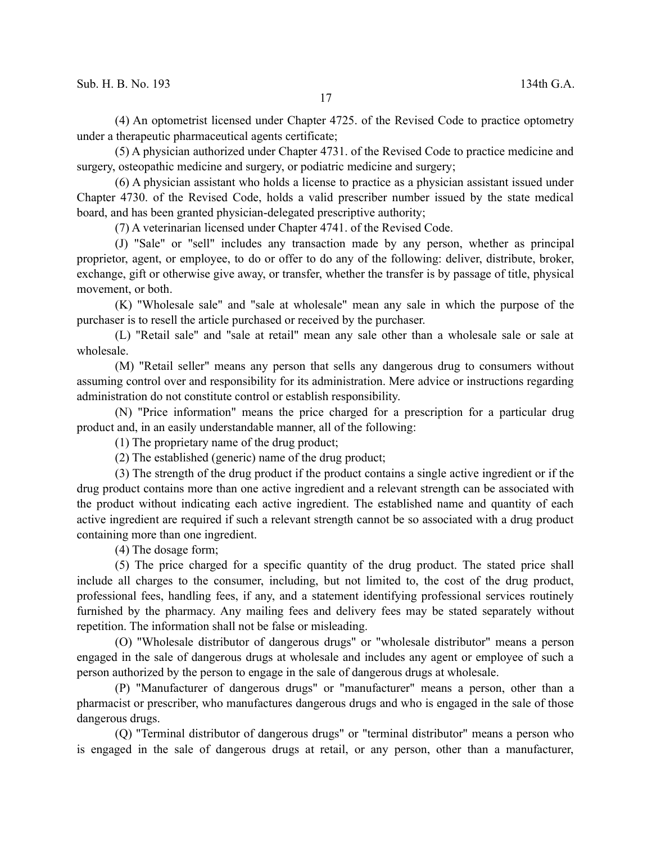(4) An optometrist licensed under Chapter 4725. of the Revised Code to practice optometry under a therapeutic pharmaceutical agents certificate;

(5) A physician authorized under Chapter 4731. of the Revised Code to practice medicine and surgery, osteopathic medicine and surgery, or podiatric medicine and surgery;

(6) A physician assistant who holds a license to practice as a physician assistant issued under Chapter 4730. of the Revised Code, holds a valid prescriber number issued by the state medical board, and has been granted physician-delegated prescriptive authority;

(7) A veterinarian licensed under Chapter 4741. of the Revised Code.

(J) "Sale" or "sell" includes any transaction made by any person, whether as principal proprietor, agent, or employee, to do or offer to do any of the following: deliver, distribute, broker, exchange, gift or otherwise give away, or transfer, whether the transfer is by passage of title, physical movement, or both.

(K) "Wholesale sale" and "sale at wholesale" mean any sale in which the purpose of the purchaser is to resell the article purchased or received by the purchaser.

(L) "Retail sale" and "sale at retail" mean any sale other than a wholesale sale or sale at wholesale.

(M) "Retail seller" means any person that sells any dangerous drug to consumers without assuming control over and responsibility for its administration. Mere advice or instructions regarding administration do not constitute control or establish responsibility.

(N) "Price information" means the price charged for a prescription for a particular drug product and, in an easily understandable manner, all of the following:

(1) The proprietary name of the drug product;

(2) The established (generic) name of the drug product;

(3) The strength of the drug product if the product contains a single active ingredient or if the drug product contains more than one active ingredient and a relevant strength can be associated with the product without indicating each active ingredient. The established name and quantity of each active ingredient are required if such a relevant strength cannot be so associated with a drug product containing more than one ingredient.

(4) The dosage form;

(5) The price charged for a specific quantity of the drug product. The stated price shall include all charges to the consumer, including, but not limited to, the cost of the drug product, professional fees, handling fees, if any, and a statement identifying professional services routinely furnished by the pharmacy. Any mailing fees and delivery fees may be stated separately without repetition. The information shall not be false or misleading.

(O) "Wholesale distributor of dangerous drugs" or "wholesale distributor" means a person engaged in the sale of dangerous drugs at wholesale and includes any agent or employee of such a person authorized by the person to engage in the sale of dangerous drugs at wholesale.

(P) "Manufacturer of dangerous drugs" or "manufacturer" means a person, other than a pharmacist or prescriber, who manufactures dangerous drugs and who is engaged in the sale of those dangerous drugs.

(Q) "Terminal distributor of dangerous drugs" or "terminal distributor" means a person who is engaged in the sale of dangerous drugs at retail, or any person, other than a manufacturer,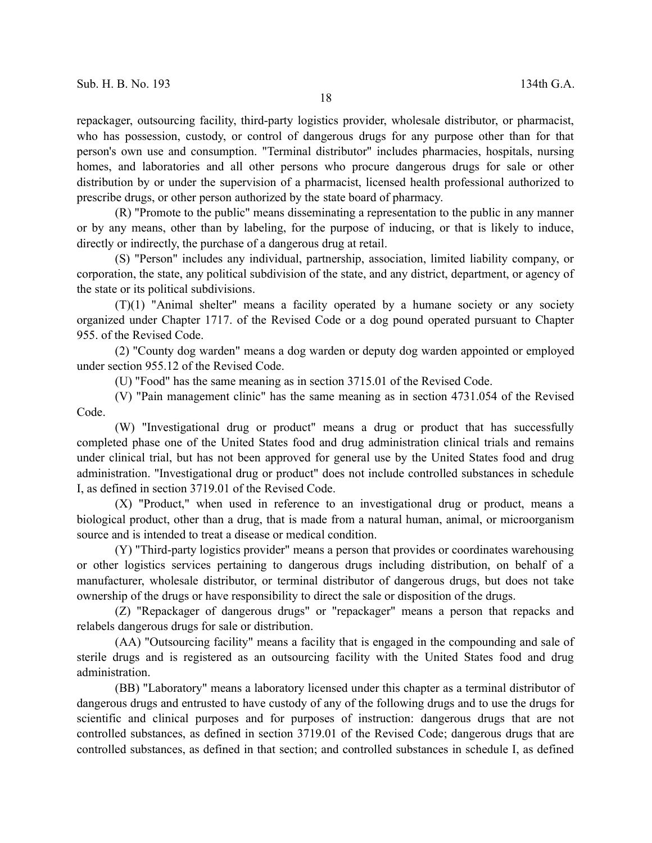repackager, outsourcing facility, third-party logistics provider, wholesale distributor, or pharmacist, who has possession, custody, or control of dangerous drugs for any purpose other than for that person's own use and consumption. "Terminal distributor" includes pharmacies, hospitals, nursing homes, and laboratories and all other persons who procure dangerous drugs for sale or other distribution by or under the supervision of a pharmacist, licensed health professional authorized to prescribe drugs, or other person authorized by the state board of pharmacy.

(R) "Promote to the public" means disseminating a representation to the public in any manner or by any means, other than by labeling, for the purpose of inducing, or that is likely to induce, directly or indirectly, the purchase of a dangerous drug at retail.

(S) "Person" includes any individual, partnership, association, limited liability company, or corporation, the state, any political subdivision of the state, and any district, department, or agency of the state or its political subdivisions.

(T)(1) "Animal shelter" means a facility operated by a humane society or any society organized under Chapter 1717. of the Revised Code or a dog pound operated pursuant to Chapter 955. of the Revised Code.

(2) "County dog warden" means a dog warden or deputy dog warden appointed or employed under section 955.12 of the Revised Code.

(U) "Food" has the same meaning as in section 3715.01 of the Revised Code.

(V) "Pain management clinic" has the same meaning as in section 4731.054 of the Revised Code.

(W) "Investigational drug or product" means a drug or product that has successfully completed phase one of the United States food and drug administration clinical trials and remains under clinical trial, but has not been approved for general use by the United States food and drug administration. "Investigational drug or product" does not include controlled substances in schedule I, as defined in section 3719.01 of the Revised Code.

(X) "Product," when used in reference to an investigational drug or product, means a biological product, other than a drug, that is made from a natural human, animal, or microorganism source and is intended to treat a disease or medical condition.

(Y) "Third-party logistics provider" means a person that provides or coordinates warehousing or other logistics services pertaining to dangerous drugs including distribution, on behalf of a manufacturer, wholesale distributor, or terminal distributor of dangerous drugs, but does not take ownership of the drugs or have responsibility to direct the sale or disposition of the drugs.

(Z) "Repackager of dangerous drugs" or "repackager" means a person that repacks and relabels dangerous drugs for sale or distribution.

(AA) "Outsourcing facility" means a facility that is engaged in the compounding and sale of sterile drugs and is registered as an outsourcing facility with the United States food and drug administration.

(BB) "Laboratory" means a laboratory licensed under this chapter as a terminal distributor of dangerous drugs and entrusted to have custody of any of the following drugs and to use the drugs for scientific and clinical purposes and for purposes of instruction: dangerous drugs that are not controlled substances, as defined in section 3719.01 of the Revised Code; dangerous drugs that are controlled substances, as defined in that section; and controlled substances in schedule I, as defined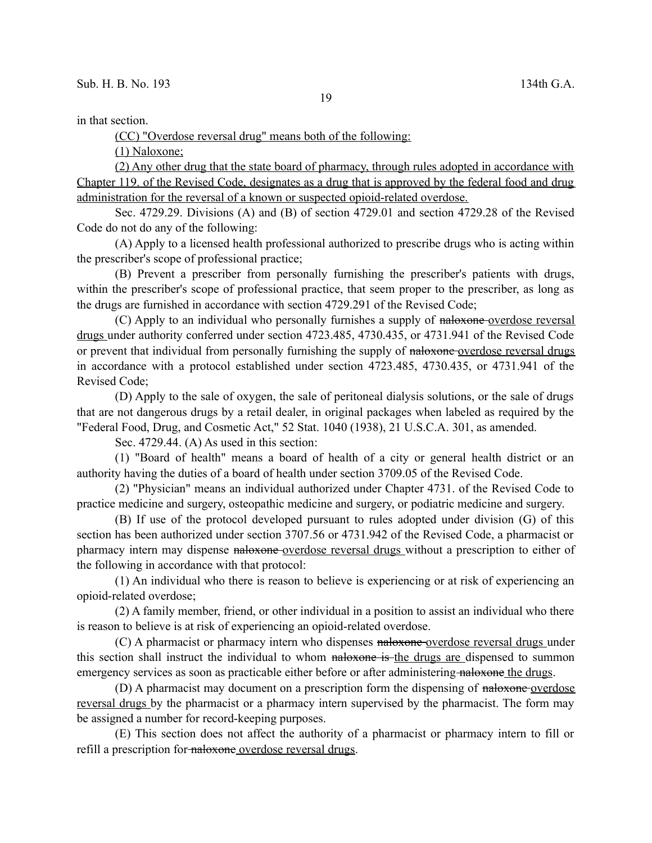in that section.

(CC) "Overdose reversal drug" means both of the following:

(1) Naloxone;

(2) Any other drug that the state board of pharmacy, through rules adopted in accordance with Chapter 119. of the Revised Code, designates as a drug that is approved by the federal food and drug administration for the reversal of a known or suspected opioid-related overdose.

Sec. 4729.29. Divisions (A) and (B) of section 4729.01 and section 4729.28 of the Revised Code do not do any of the following:

(A) Apply to a licensed health professional authorized to prescribe drugs who is acting within the prescriber's scope of professional practice;

(B) Prevent a prescriber from personally furnishing the prescriber's patients with drugs, within the prescriber's scope of professional practice, that seem proper to the prescriber, as long as the drugs are furnished in accordance with section 4729.291 of the Revised Code;

(C) Apply to an individual who personally furnishes a supply of naloxone overdose reversal drugs under authority conferred under section 4723.485, 4730.435, or 4731.941 of the Revised Code or prevent that individual from personally furnishing the supply of naloxone-overdose reversal drugs in accordance with a protocol established under section 4723.485, 4730.435, or 4731.941 of the Revised Code;

(D) Apply to the sale of oxygen, the sale of peritoneal dialysis solutions, or the sale of drugs that are not dangerous drugs by a retail dealer, in original packages when labeled as required by the "Federal Food, Drug, and Cosmetic Act," 52 Stat. 1040 (1938), 21 U.S.C.A. 301, as amended.

Sec. 4729.44. (A) As used in this section:

(1) "Board of health" means a board of health of a city or general health district or an authority having the duties of a board of health under section 3709.05 of the Revised Code.

(2) "Physician" means an individual authorized under Chapter 4731. of the Revised Code to practice medicine and surgery, osteopathic medicine and surgery, or podiatric medicine and surgery.

(B) If use of the protocol developed pursuant to rules adopted under division (G) of this section has been authorized under section 3707.56 or 4731.942 of the Revised Code, a pharmacist or pharmacy intern may dispense naloxone overdose reversal drugs without a prescription to either of the following in accordance with that protocol:

(1) An individual who there is reason to believe is experiencing or at risk of experiencing an opioid-related overdose;

(2) A family member, friend, or other individual in a position to assist an individual who there is reason to believe is at risk of experiencing an opioid-related overdose.

(C) A pharmacist or pharmacy intern who dispenses naloxone overdose reversal drugs under this section shall instruct the individual to whom naloxone is the drugs are dispensed to summon emergency services as soon as practicable either before or after administering naloxone the drugs.

(D) A pharmacist may document on a prescription form the dispensing of naloxone-overdose reversal drugs by the pharmacist or a pharmacy intern supervised by the pharmacist. The form may be assigned a number for record-keeping purposes.

(E) This section does not affect the authority of a pharmacist or pharmacy intern to fill or refill a prescription for naloxone overdose reversal drugs.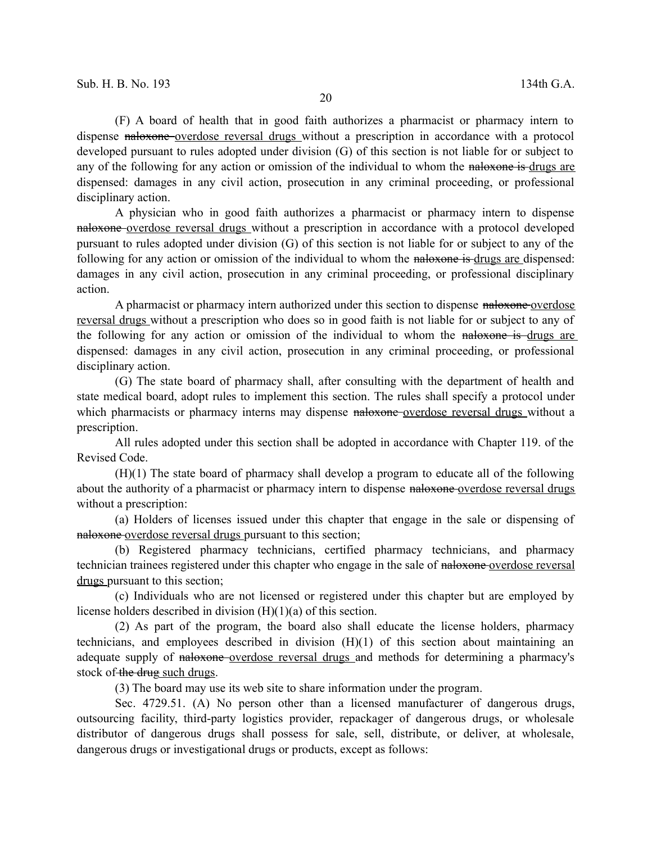(F) A board of health that in good faith authorizes a pharmacist or pharmacy intern to dispense naloxone overdose reversal drugs without a prescription in accordance with a protocol developed pursuant to rules adopted under division (G) of this section is not liable for or subject to any of the following for any action or omission of the individual to whom the naloxone is drugs are dispensed: damages in any civil action, prosecution in any criminal proceeding, or professional disciplinary action.

A physician who in good faith authorizes a pharmacist or pharmacy intern to dispense naloxone overdose reversal drugs without a prescription in accordance with a protocol developed pursuant to rules adopted under division (G) of this section is not liable for or subject to any of the following for any action or omission of the individual to whom the naloxone is drugs are dispensed: damages in any civil action, prosecution in any criminal proceeding, or professional disciplinary action.

A pharmacist or pharmacy intern authorized under this section to dispense naloxone overdose reversal drugs without a prescription who does so in good faith is not liable for or subject to any of the following for any action or omission of the individual to whom the naloxone is drugs are dispensed: damages in any civil action, prosecution in any criminal proceeding, or professional disciplinary action.

(G) The state board of pharmacy shall, after consulting with the department of health and state medical board, adopt rules to implement this section. The rules shall specify a protocol under which pharmacists or pharmacy interns may dispense naloxone-overdose reversal drugs without a prescription.

All rules adopted under this section shall be adopted in accordance with Chapter 119. of the Revised Code.

(H)(1) The state board of pharmacy shall develop a program to educate all of the following about the authority of a pharmacist or pharmacy intern to dispense naloxone-overdose reversal drugs without a prescription:

(a) Holders of licenses issued under this chapter that engage in the sale or dispensing of naloxone overdose reversal drugs pursuant to this section;

(b) Registered pharmacy technicians, certified pharmacy technicians, and pharmacy technician trainees registered under this chapter who engage in the sale of naloxone overdose reversal drugs pursuant to this section;

(c) Individuals who are not licensed or registered under this chapter but are employed by license holders described in division (H)(1)(a) of this section.

(2) As part of the program, the board also shall educate the license holders, pharmacy technicians, and employees described in division (H)(1) of this section about maintaining an adequate supply of naloxone-overdose reversal drugs and methods for determining a pharmacy's stock of the drug such drugs.

(3) The board may use its web site to share information under the program.

Sec. 4729.51. (A) No person other than a licensed manufacturer of dangerous drugs, outsourcing facility, third-party logistics provider, repackager of dangerous drugs, or wholesale distributor of dangerous drugs shall possess for sale, sell, distribute, or deliver, at wholesale, dangerous drugs or investigational drugs or products, except as follows: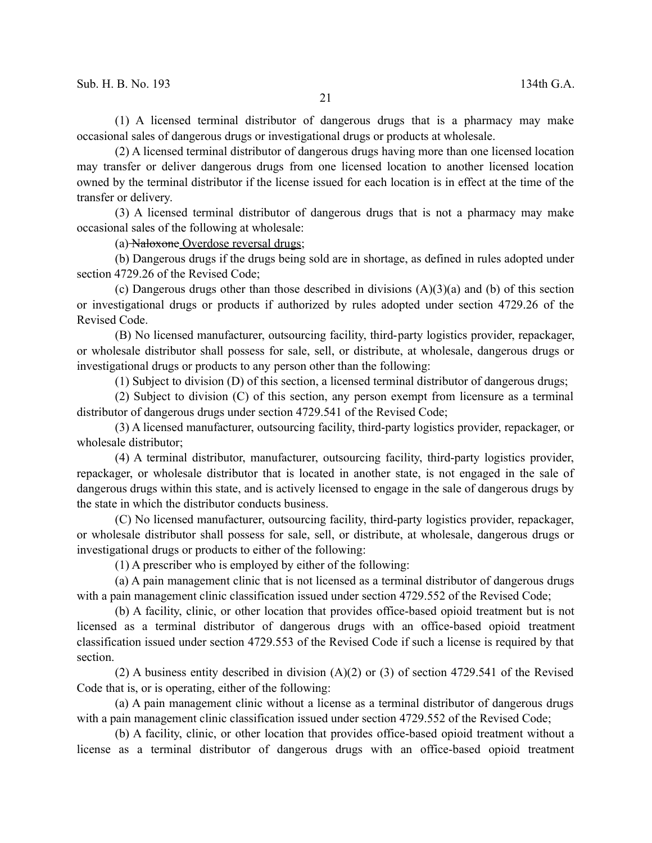(1) A licensed terminal distributor of dangerous drugs that is a pharmacy may make occasional sales of dangerous drugs or investigational drugs or products at wholesale.

(2) A licensed terminal distributor of dangerous drugs having more than one licensed location may transfer or deliver dangerous drugs from one licensed location to another licensed location owned by the terminal distributor if the license issued for each location is in effect at the time of the transfer or delivery.

(3) A licensed terminal distributor of dangerous drugs that is not a pharmacy may make occasional sales of the following at wholesale:

(a) Naloxone Overdose reversal drugs;

(b) Dangerous drugs if the drugs being sold are in shortage, as defined in rules adopted under section 4729.26 of the Revised Code;

(c) Dangerous drugs other than those described in divisions  $(A)(3)(a)$  and (b) of this section or investigational drugs or products if authorized by rules adopted under section 4729.26 of the Revised Code.

(B) No licensed manufacturer, outsourcing facility, third-party logistics provider, repackager, or wholesale distributor shall possess for sale, sell, or distribute, at wholesale, dangerous drugs or investigational drugs or products to any person other than the following:

(1) Subject to division (D) of this section, a licensed terminal distributor of dangerous drugs;

(2) Subject to division (C) of this section, any person exempt from licensure as a terminal distributor of dangerous drugs under section 4729.541 of the Revised Code;

(3) A licensed manufacturer, outsourcing facility, third-party logistics provider, repackager, or wholesale distributor;

(4) A terminal distributor, manufacturer, outsourcing facility, third-party logistics provider, repackager, or wholesale distributor that is located in another state, is not engaged in the sale of dangerous drugs within this state, and is actively licensed to engage in the sale of dangerous drugs by the state in which the distributor conducts business.

(C) No licensed manufacturer, outsourcing facility, third-party logistics provider, repackager, or wholesale distributor shall possess for sale, sell, or distribute, at wholesale, dangerous drugs or investigational drugs or products to either of the following:

(1) A prescriber who is employed by either of the following:

(a) A pain management clinic that is not licensed as a terminal distributor of dangerous drugs with a pain management clinic classification issued under section 4729.552 of the Revised Code;

(b) A facility, clinic, or other location that provides office-based opioid treatment but is not licensed as a terminal distributor of dangerous drugs with an office-based opioid treatment classification issued under section 4729.553 of the Revised Code if such a license is required by that section.

(2) A business entity described in division  $(A)(2)$  or (3) of section 4729.541 of the Revised Code that is, or is operating, either of the following:

(a) A pain management clinic without a license as a terminal distributor of dangerous drugs with a pain management clinic classification issued under section 4729.552 of the Revised Code;

(b) A facility, clinic, or other location that provides office-based opioid treatment without a license as a terminal distributor of dangerous drugs with an office-based opioid treatment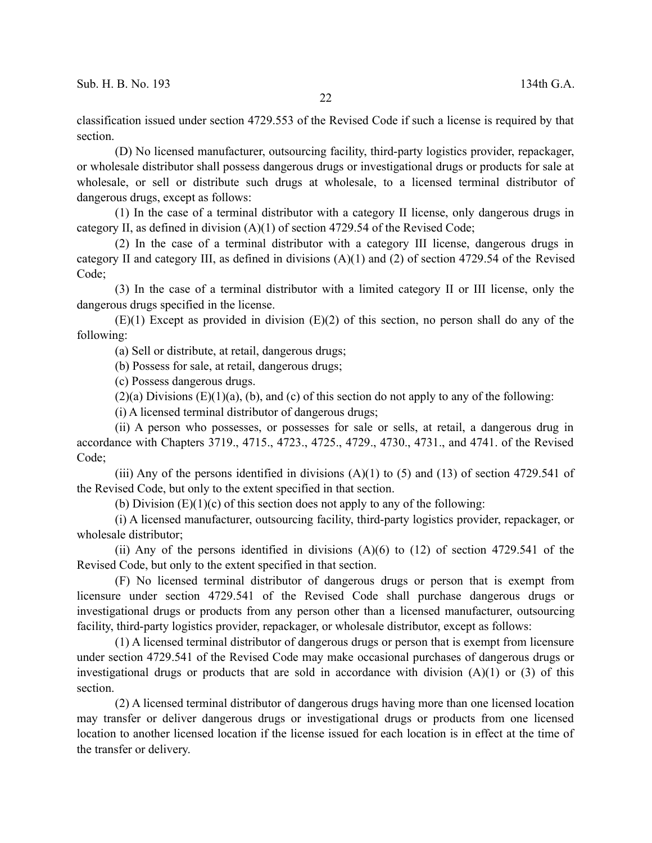classification issued under section 4729.553 of the Revised Code if such a license is required by that section.

(D) No licensed manufacturer, outsourcing facility, third-party logistics provider, repackager, or wholesale distributor shall possess dangerous drugs or investigational drugs or products for sale at wholesale, or sell or distribute such drugs at wholesale, to a licensed terminal distributor of dangerous drugs, except as follows:

(1) In the case of a terminal distributor with a category II license, only dangerous drugs in category II, as defined in division (A)(1) of section 4729.54 of the Revised Code;

(2) In the case of a terminal distributor with a category III license, dangerous drugs in category II and category III, as defined in divisions (A)(1) and (2) of section 4729.54 of the Revised Code;

(3) In the case of a terminal distributor with a limited category II or III license, only the dangerous drugs specified in the license.

 $(E)(1)$  Except as provided in division  $(E)(2)$  of this section, no person shall do any of the following:

(a) Sell or distribute, at retail, dangerous drugs;

(b) Possess for sale, at retail, dangerous drugs;

(c) Possess dangerous drugs.

 $(2)(a)$  Divisions  $(E)(1)(a)$ ,  $(b)$ , and  $(c)$  of this section do not apply to any of the following:

(i) A licensed terminal distributor of dangerous drugs;

(ii) A person who possesses, or possesses for sale or sells, at retail, a dangerous drug in accordance with Chapters 3719., 4715., 4723., 4725., 4729., 4730., 4731., and 4741. of the Revised Code;

(iii) Any of the persons identified in divisions  $(A)(1)$  to  $(5)$  and  $(13)$  of section 4729.541 of the Revised Code, but only to the extent specified in that section.

(b) Division  $(E)(1)(c)$  of this section does not apply to any of the following:

(i) A licensed manufacturer, outsourcing facility, third-party logistics provider, repackager, or wholesale distributor;

(ii) Any of the persons identified in divisions  $(A)(6)$  to  $(12)$  of section 4729.541 of the Revised Code, but only to the extent specified in that section.

(F) No licensed terminal distributor of dangerous drugs or person that is exempt from licensure under section 4729.541 of the Revised Code shall purchase dangerous drugs or investigational drugs or products from any person other than a licensed manufacturer, outsourcing facility, third-party logistics provider, repackager, or wholesale distributor, except as follows:

(1) A licensed terminal distributor of dangerous drugs or person that is exempt from licensure under section 4729.541 of the Revised Code may make occasional purchases of dangerous drugs or investigational drugs or products that are sold in accordance with division  $(A)(1)$  or  $(3)$  of this section.

(2) A licensed terminal distributor of dangerous drugs having more than one licensed location may transfer or deliver dangerous drugs or investigational drugs or products from one licensed location to another licensed location if the license issued for each location is in effect at the time of the transfer or delivery.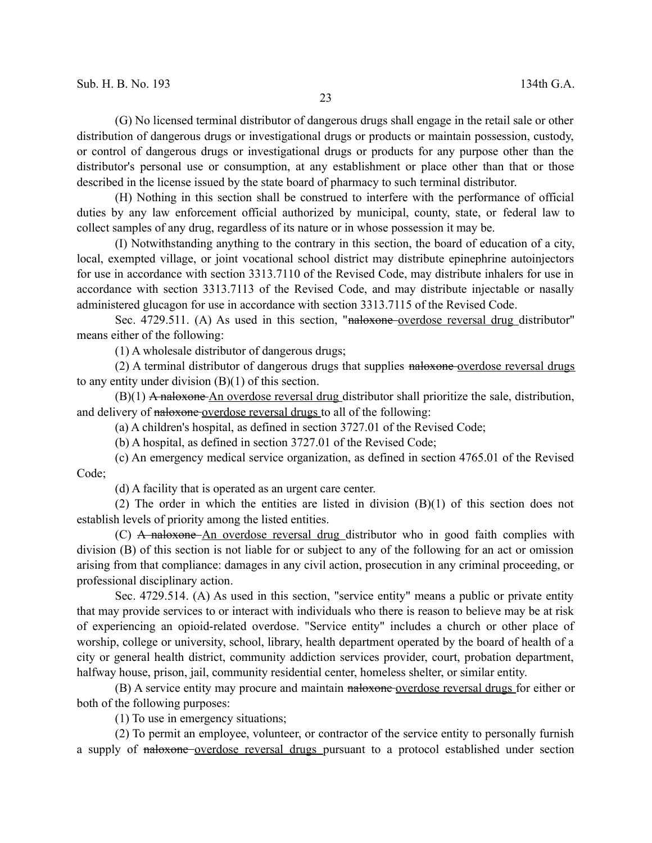(G) No licensed terminal distributor of dangerous drugs shall engage in the retail sale or other distribution of dangerous drugs or investigational drugs or products or maintain possession, custody, or control of dangerous drugs or investigational drugs or products for any purpose other than the distributor's personal use or consumption, at any establishment or place other than that or those described in the license issued by the state board of pharmacy to such terminal distributor.

(H) Nothing in this section shall be construed to interfere with the performance of official duties by any law enforcement official authorized by municipal, county, state, or federal law to collect samples of any drug, regardless of its nature or in whose possession it may be.

(I) Notwithstanding anything to the contrary in this section, the board of education of a city, local, exempted village, or joint vocational school district may distribute epinephrine autoinjectors for use in accordance with section 3313.7110 of the Revised Code, may distribute inhalers for use in accordance with section 3313.7113 of the Revised Code, and may distribute injectable or nasally administered glucagon for use in accordance with section 3313.7115 of the Revised Code.

Sec. 4729.511. (A) As used in this section, "naloxone-overdose reversal drug distributor" means either of the following:

(1) A wholesale distributor of dangerous drugs;

(2) A terminal distributor of dangerous drugs that supplies naloxone overdose reversal drugs to any entity under division (B)(1) of this section.

 $(B)(1)$  A naloxone An overdose reversal drug distributor shall prioritize the sale, distribution, and delivery of naloxone overdose reversal drugs to all of the following:

(a) A children's hospital, as defined in section 3727.01 of the Revised Code;

(b) A hospital, as defined in section 3727.01 of the Revised Code;

(c) An emergency medical service organization, as defined in section 4765.01 of the Revised Code;

(d) A facility that is operated as an urgent care center.

(2) The order in which the entities are listed in division (B)(1) of this section does not establish levels of priority among the listed entities.

(C) A naloxone An overdose reversal drug distributor who in good faith complies with division (B) of this section is not liable for or subject to any of the following for an act or omission arising from that compliance: damages in any civil action, prosecution in any criminal proceeding, or professional disciplinary action.

Sec. 4729.514. (A) As used in this section, "service entity" means a public or private entity that may provide services to or interact with individuals who there is reason to believe may be at risk of experiencing an opioid-related overdose. "Service entity" includes a church or other place of worship, college or university, school, library, health department operated by the board of health of a city or general health district, community addiction services provider, court, probation department, halfway house, prison, jail, community residential center, homeless shelter, or similar entity.

(B) A service entity may procure and maintain naloxone overdose reversal drugs for either or both of the following purposes:

(1) To use in emergency situations;

(2) To permit an employee, volunteer, or contractor of the service entity to personally furnish a supply of naloxone overdose reversal drugs pursuant to a protocol established under section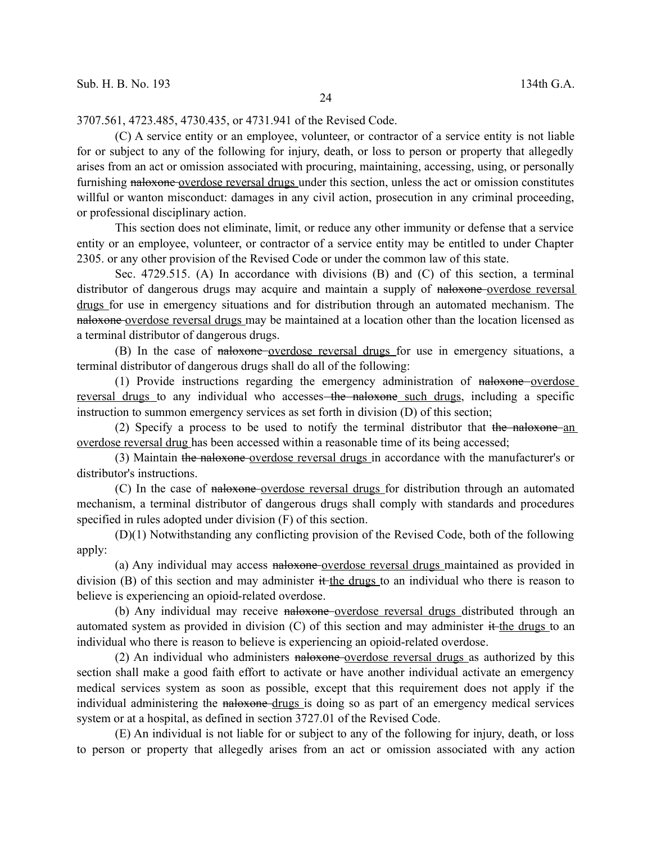3707.561, 4723.485, 4730.435, or 4731.941 of the Revised Code.

(C) A service entity or an employee, volunteer, or contractor of a service entity is not liable for or subject to any of the following for injury, death, or loss to person or property that allegedly arises from an act or omission associated with procuring, maintaining, accessing, using, or personally furnishing naloxone overdose reversal drugs under this section, unless the act or omission constitutes willful or wanton misconduct: damages in any civil action, prosecution in any criminal proceeding, or professional disciplinary action.

This section does not eliminate, limit, or reduce any other immunity or defense that a service entity or an employee, volunteer, or contractor of a service entity may be entitled to under Chapter 2305. or any other provision of the Revised Code or under the common law of this state.

Sec. 4729.515. (A) In accordance with divisions (B) and (C) of this section, a terminal distributor of dangerous drugs may acquire and maintain a supply of naloxone-overdose reversal drugs for use in emergency situations and for distribution through an automated mechanism. The naloxone overdose reversal drugs may be maintained at a location other than the location licensed as a terminal distributor of dangerous drugs.

(B) In the case of naloxone overdose reversal drugs for use in emergency situations, a terminal distributor of dangerous drugs shall do all of the following:

(1) Provide instructions regarding the emergency administration of naloxone overdose reversal drugs to any individual who accesses the naloxone such drugs, including a specific instruction to summon emergency services as set forth in division (D) of this section;

(2) Specify a process to be used to notify the terminal distributor that the naloxone an overdose reversal drug has been accessed within a reasonable time of its being accessed;

(3) Maintain the naloxone overdose reversal drugs in accordance with the manufacturer's or distributor's instructions.

(C) In the case of naloxone overdose reversal drugs for distribution through an automated mechanism, a terminal distributor of dangerous drugs shall comply with standards and procedures specified in rules adopted under division (F) of this section.

(D)(1) Notwithstanding any conflicting provision of the Revised Code, both of the following apply:

(a) Any individual may access naloxone overdose reversal drugs maintained as provided in division (B) of this section and may administer it the drugs to an individual who there is reason to believe is experiencing an opioid-related overdose.

(b) Any individual may receive naloxone overdose reversal drugs distributed through an automated system as provided in division  $(C)$  of this section and may administer it the drugs to an individual who there is reason to believe is experiencing an opioid-related overdose.

(2) An individual who administers naloxone-overdose reversal drugs as authorized by this section shall make a good faith effort to activate or have another individual activate an emergency medical services system as soon as possible, except that this requirement does not apply if the individual administering the naloxone drugs is doing so as part of an emergency medical services system or at a hospital, as defined in section 3727.01 of the Revised Code.

(E) An individual is not liable for or subject to any of the following for injury, death, or loss to person or property that allegedly arises from an act or omission associated with any action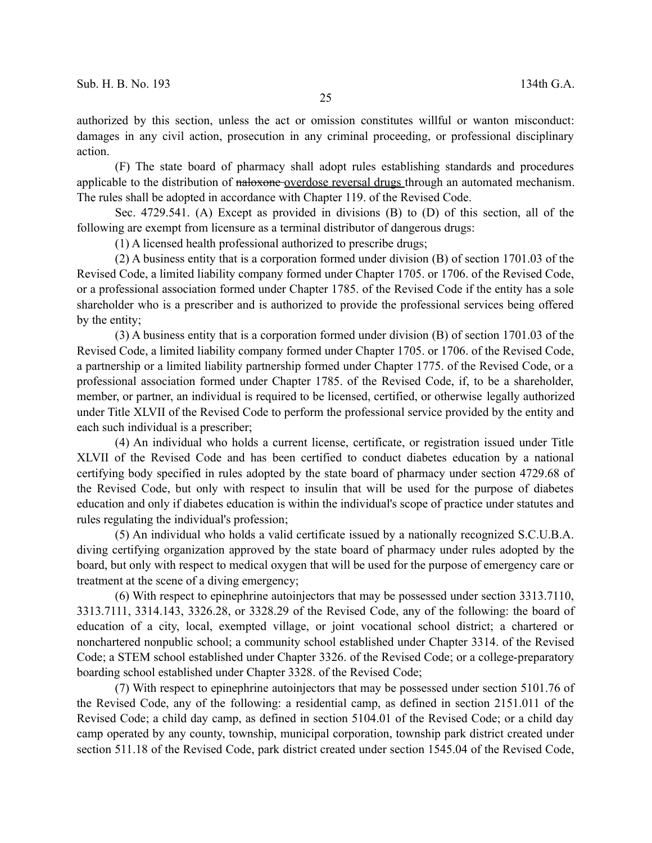authorized by this section, unless the act or omission constitutes willful or wanton misconduct: damages in any civil action, prosecution in any criminal proceeding, or professional disciplinary action.

(F) The state board of pharmacy shall adopt rules establishing standards and procedures applicable to the distribution of naloxone overdose reversal drugs through an automated mechanism. The rules shall be adopted in accordance with Chapter 119. of the Revised Code.

Sec. 4729.541. (A) Except as provided in divisions (B) to (D) of this section, all of the following are exempt from licensure as a terminal distributor of dangerous drugs:

(1) A licensed health professional authorized to prescribe drugs;

(2) A business entity that is a corporation formed under division (B) of section 1701.03 of the Revised Code, a limited liability company formed under Chapter 1705. or 1706. of the Revised Code, or a professional association formed under Chapter 1785. of the Revised Code if the entity has a sole shareholder who is a prescriber and is authorized to provide the professional services being offered by the entity;

(3) A business entity that is a corporation formed under division (B) of section 1701.03 of the Revised Code, a limited liability company formed under Chapter 1705. or 1706. of the Revised Code, a partnership or a limited liability partnership formed under Chapter 1775. of the Revised Code, or a professional association formed under Chapter 1785. of the Revised Code, if, to be a shareholder, member, or partner, an individual is required to be licensed, certified, or otherwise legally authorized under Title XLVII of the Revised Code to perform the professional service provided by the entity and each such individual is a prescriber;

(4) An individual who holds a current license, certificate, or registration issued under Title XLVII of the Revised Code and has been certified to conduct diabetes education by a national certifying body specified in rules adopted by the state board of pharmacy under section 4729.68 of the Revised Code, but only with respect to insulin that will be used for the purpose of diabetes education and only if diabetes education is within the individual's scope of practice under statutes and rules regulating the individual's profession;

(5) An individual who holds a valid certificate issued by a nationally recognized S.C.U.B.A. diving certifying organization approved by the state board of pharmacy under rules adopted by the board, but only with respect to medical oxygen that will be used for the purpose of emergency care or treatment at the scene of a diving emergency;

(6) With respect to epinephrine autoinjectors that may be possessed under section 3313.7110, 3313.7111, 3314.143, 3326.28, or 3328.29 of the Revised Code, any of the following: the board of education of a city, local, exempted village, or joint vocational school district; a chartered or nonchartered nonpublic school; a community school established under Chapter 3314. of the Revised Code; a STEM school established under Chapter 3326. of the Revised Code; or a college-preparatory boarding school established under Chapter 3328. of the Revised Code;

(7) With respect to epinephrine autoinjectors that may be possessed under section 5101.76 of the Revised Code, any of the following: a residential camp, as defined in section 2151.011 of the Revised Code; a child day camp, as defined in section 5104.01 of the Revised Code; or a child day camp operated by any county, township, municipal corporation, township park district created under section 511.18 of the Revised Code, park district created under section 1545.04 of the Revised Code,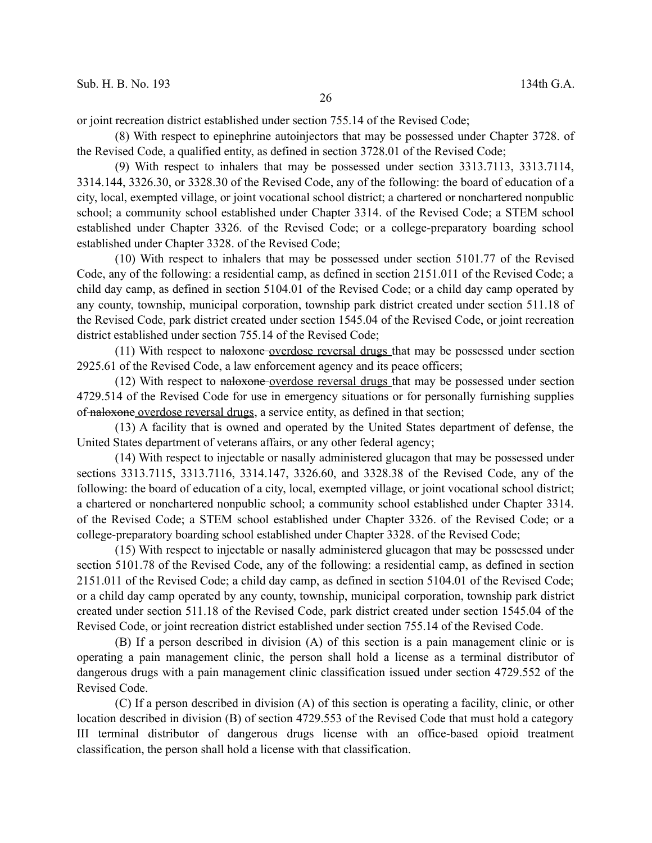or joint recreation district established under section 755.14 of the Revised Code;

(8) With respect to epinephrine autoinjectors that may be possessed under Chapter 3728. of the Revised Code, a qualified entity, as defined in section 3728.01 of the Revised Code;

(9) With respect to inhalers that may be possessed under section 3313.7113, 3313.7114, 3314.144, 3326.30, or 3328.30 of the Revised Code, any of the following: the board of education of a city, local, exempted village, or joint vocational school district; a chartered or nonchartered nonpublic school; a community school established under Chapter 3314. of the Revised Code; a STEM school established under Chapter 3326. of the Revised Code; or a college-preparatory boarding school established under Chapter 3328. of the Revised Code;

(10) With respect to inhalers that may be possessed under section 5101.77 of the Revised Code, any of the following: a residential camp, as defined in section 2151.011 of the Revised Code; a child day camp, as defined in section 5104.01 of the Revised Code; or a child day camp operated by any county, township, municipal corporation, township park district created under section 511.18 of the Revised Code, park district created under section 1545.04 of the Revised Code, or joint recreation district established under section 755.14 of the Revised Code;

(11) With respect to naloxone-overdose reversal drugs that may be possessed under section 2925.61 of the Revised Code, a law enforcement agency and its peace officers;

(12) With respect to naloxone overdose reversal drugs that may be possessed under section 4729.514 of the Revised Code for use in emergency situations or for personally furnishing supplies of naloxone overdose reversal drugs, a service entity, as defined in that section;

(13) A facility that is owned and operated by the United States department of defense, the United States department of veterans affairs, or any other federal agency;

(14) With respect to injectable or nasally administered glucagon that may be possessed under sections 3313.7115, 3313.7116, 3314.147, 3326.60, and 3328.38 of the Revised Code, any of the following: the board of education of a city, local, exempted village, or joint vocational school district; a chartered or nonchartered nonpublic school; a community school established under Chapter 3314. of the Revised Code; a STEM school established under Chapter 3326. of the Revised Code; or a college-preparatory boarding school established under Chapter 3328. of the Revised Code;

(15) With respect to injectable or nasally administered glucagon that may be possessed under section 5101.78 of the Revised Code, any of the following: a residential camp, as defined in section 2151.011 of the Revised Code; a child day camp, as defined in section 5104.01 of the Revised Code; or a child day camp operated by any county, township, municipal corporation, township park district created under section 511.18 of the Revised Code, park district created under section 1545.04 of the Revised Code, or joint recreation district established under section 755.14 of the Revised Code.

(B) If a person described in division (A) of this section is a pain management clinic or is operating a pain management clinic, the person shall hold a license as a terminal distributor of dangerous drugs with a pain management clinic classification issued under section 4729.552 of the Revised Code.

(C) If a person described in division (A) of this section is operating a facility, clinic, or other location described in division (B) of section 4729.553 of the Revised Code that must hold a category III terminal distributor of dangerous drugs license with an office-based opioid treatment classification, the person shall hold a license with that classification.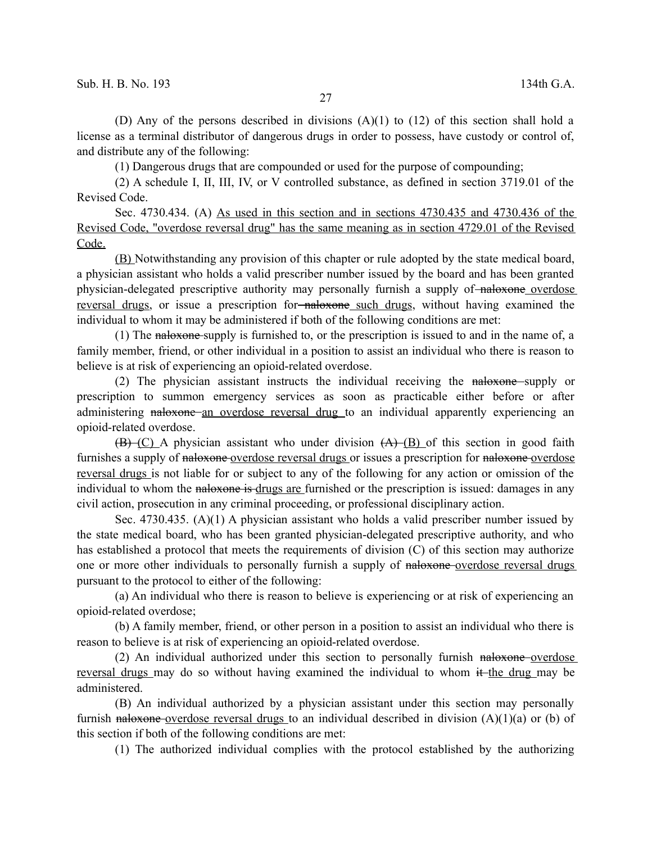(D) Any of the persons described in divisions (A)(1) to (12) of this section shall hold a license as a terminal distributor of dangerous drugs in order to possess, have custody or control of, and distribute any of the following:

(1) Dangerous drugs that are compounded or used for the purpose of compounding;

(2) A schedule I, II, III, IV, or V controlled substance, as defined in section 3719.01 of the Revised Code.

Sec. 4730.434. (A) As used in this section and in sections 4730.435 and 4730.436 of the Revised Code, "overdose reversal drug" has the same meaning as in section 4729.01 of the Revised Code.

(B) Notwithstanding any provision of this chapter or rule adopted by the state medical board, a physician assistant who holds a valid prescriber number issued by the board and has been granted physician-delegated prescriptive authority may personally furnish a supply of naloxone overdose reversal drugs, or issue a prescription for-naloxone such drugs, without having examined the individual to whom it may be administered if both of the following conditions are met:

(1) The naloxone supply is furnished to, or the prescription is issued to and in the name of, a family member, friend, or other individual in a position to assist an individual who there is reason to believe is at risk of experiencing an opioid-related overdose.

(2) The physician assistant instructs the individual receiving the naloxone supply or prescription to summon emergency services as soon as practicable either before or after administering naloxone an overdose reversal drug to an individual apparently experiencing an opioid-related overdose.

 $(\overline{B})$  (C) A physician assistant who under division  $(A)$  (B) of this section in good faith furnishes a supply of naloxone overdose reversal drugs or issues a prescription for naloxone overdose reversal drugs is not liable for or subject to any of the following for any action or omission of the individual to whom the naloxone is drugs are furnished or the prescription is issued: damages in any civil action, prosecution in any criminal proceeding, or professional disciplinary action.

Sec. 4730.435. (A)(1) A physician assistant who holds a valid prescriber number issued by the state medical board, who has been granted physician-delegated prescriptive authority, and who has established a protocol that meets the requirements of division (C) of this section may authorize one or more other individuals to personally furnish a supply of naloxone overdose reversal drugs pursuant to the protocol to either of the following:

(a) An individual who there is reason to believe is experiencing or at risk of experiencing an opioid-related overdose;

(b) A family member, friend, or other person in a position to assist an individual who there is reason to believe is at risk of experiencing an opioid-related overdose.

(2) An individual authorized under this section to personally furnish naloxone-overdose reversal drugs may do so without having examined the individual to whom it the drug may be administered.

(B) An individual authorized by a physician assistant under this section may personally furnish naloxone overdose reversal drugs to an individual described in division  $(A)(1)(a)$  or (b) of this section if both of the following conditions are met:

(1) The authorized individual complies with the protocol established by the authorizing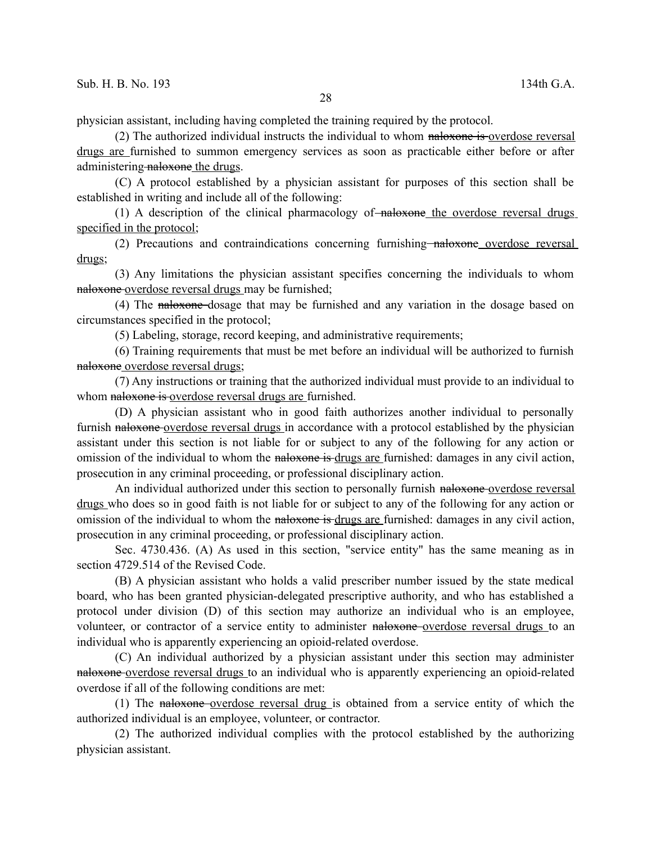physician assistant, including having completed the training required by the protocol.

(2) The authorized individual instructs the individual to whom naloxone is overdose reversal drugs are furnished to summon emergency services as soon as practicable either before or after administering naloxone the drugs.

(C) A protocol established by a physician assistant for purposes of this section shall be established in writing and include all of the following:

(1) A description of the clinical pharmacology of  $\alpha$ -haloxone the overdose reversal drugs specified in the protocol;

(2) Precautions and contraindications concerning furnishing naloxone overdose reversal drugs;

(3) Any limitations the physician assistant specifies concerning the individuals to whom naloxone overdose reversal drugs may be furnished;

(4) The naloxone dosage that may be furnished and any variation in the dosage based on circumstances specified in the protocol;

(5) Labeling, storage, record keeping, and administrative requirements;

(6) Training requirements that must be met before an individual will be authorized to furnish naloxone overdose reversal drugs;

(7) Any instructions or training that the authorized individual must provide to an individual to whom naloxone is overdose reversal drugs are furnished.

(D) A physician assistant who in good faith authorizes another individual to personally furnish naloxone overdose reversal drugs in accordance with a protocol established by the physician assistant under this section is not liable for or subject to any of the following for any action or omission of the individual to whom the naloxone is drugs are furnished: damages in any civil action, prosecution in any criminal proceeding, or professional disciplinary action.

An individual authorized under this section to personally furnish naloxone-overdose reversal drugs who does so in good faith is not liable for or subject to any of the following for any action or omission of the individual to whom the naloxone is drugs are furnished: damages in any civil action, prosecution in any criminal proceeding, or professional disciplinary action.

Sec. 4730.436. (A) As used in this section, "service entity" has the same meaning as in section 4729.514 of the Revised Code.

(B) A physician assistant who holds a valid prescriber number issued by the state medical board, who has been granted physician-delegated prescriptive authority, and who has established a protocol under division (D) of this section may authorize an individual who is an employee, volunteer, or contractor of a service entity to administer naloxone overdose reversal drugs to an individual who is apparently experiencing an opioid-related overdose.

(C) An individual authorized by a physician assistant under this section may administer naloxone overdose reversal drugs to an individual who is apparently experiencing an opioid-related overdose if all of the following conditions are met:

(1) The naloxone overdose reversal drug is obtained from a service entity of which the authorized individual is an employee, volunteer, or contractor.

(2) The authorized individual complies with the protocol established by the authorizing physician assistant.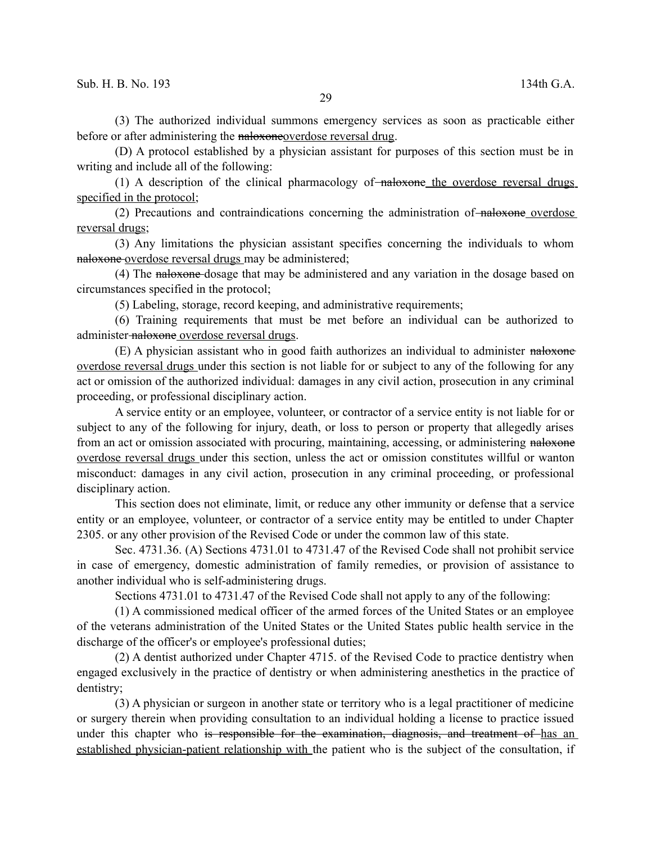(3) The authorized individual summons emergency services as soon as practicable either before or after administering the naloxoneoverdose reversal drug.

(D) A protocol established by a physician assistant for purposes of this section must be in writing and include all of the following:

(1) A description of the clinical pharmacology of  $\overline{\text{maloxone}}$  the overdose reversal drugs specified in the protocol;

(2) Precautions and contraindications concerning the administration of naloxone overdose reversal drugs;

(3) Any limitations the physician assistant specifies concerning the individuals to whom naloxone overdose reversal drugs may be administered;

(4) The naloxone dosage that may be administered and any variation in the dosage based on circumstances specified in the protocol;

(5) Labeling, storage, record keeping, and administrative requirements;

(6) Training requirements that must be met before an individual can be authorized to administer-naloxone overdose reversal drugs.

(E) A physician assistant who in good faith authorizes an individual to administer naloxone overdose reversal drugs under this section is not liable for or subject to any of the following for any act or omission of the authorized individual: damages in any civil action, prosecution in any criminal proceeding, or professional disciplinary action.

A service entity or an employee, volunteer, or contractor of a service entity is not liable for or subject to any of the following for injury, death, or loss to person or property that allegedly arises from an act or omission associated with procuring, maintaining, accessing, or administering naloxone overdose reversal drugs under this section, unless the act or omission constitutes willful or wanton misconduct: damages in any civil action, prosecution in any criminal proceeding, or professional disciplinary action.

This section does not eliminate, limit, or reduce any other immunity or defense that a service entity or an employee, volunteer, or contractor of a service entity may be entitled to under Chapter 2305. or any other provision of the Revised Code or under the common law of this state.

Sec. 4731.36. (A) Sections 4731.01 to 4731.47 of the Revised Code shall not prohibit service in case of emergency, domestic administration of family remedies, or provision of assistance to another individual who is self-administering drugs.

Sections 4731.01 to 4731.47 of the Revised Code shall not apply to any of the following:

(1) A commissioned medical officer of the armed forces of the United States or an employee of the veterans administration of the United States or the United States public health service in the discharge of the officer's or employee's professional duties;

(2) A dentist authorized under Chapter 4715. of the Revised Code to practice dentistry when engaged exclusively in the practice of dentistry or when administering anesthetics in the practice of dentistry;

(3) A physician or surgeon in another state or territory who is a legal practitioner of medicine or surgery therein when providing consultation to an individual holding a license to practice issued under this chapter who is responsible for the examination, diagnosis, and treatment of has an established physician-patient relationship with the patient who is the subject of the consultation, if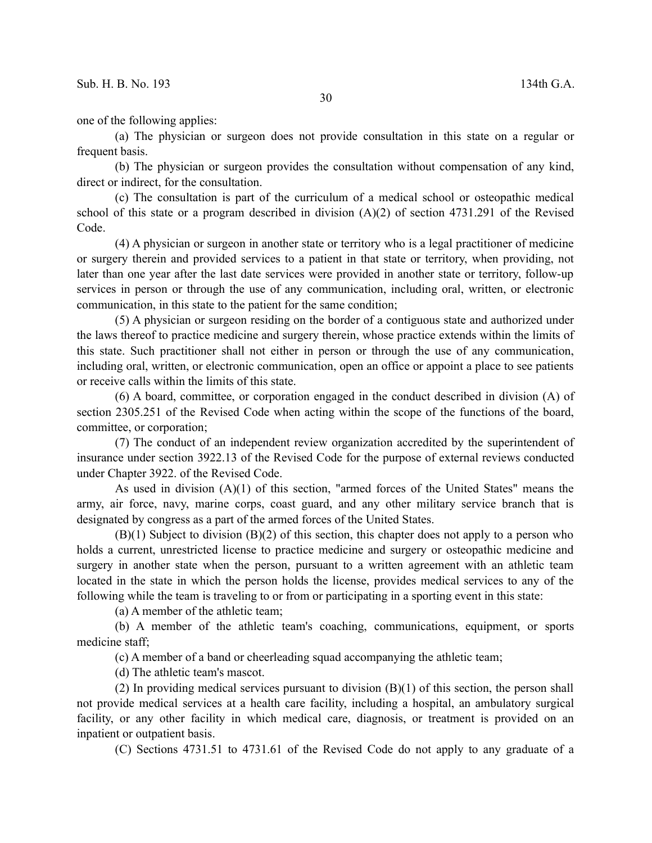one of the following applies:

(a) The physician or surgeon does not provide consultation in this state on a regular or frequent basis.

(b) The physician or surgeon provides the consultation without compensation of any kind, direct or indirect, for the consultation.

(c) The consultation is part of the curriculum of a medical school or osteopathic medical school of this state or a program described in division  $(A)(2)$  of section 4731.291 of the Revised Code.

(4) A physician or surgeon in another state or territory who is a legal practitioner of medicine or surgery therein and provided services to a patient in that state or territory, when providing, not later than one year after the last date services were provided in another state or territory, follow-up services in person or through the use of any communication, including oral, written, or electronic communication, in this state to the patient for the same condition;

(5) A physician or surgeon residing on the border of a contiguous state and authorized under the laws thereof to practice medicine and surgery therein, whose practice extends within the limits of this state. Such practitioner shall not either in person or through the use of any communication, including oral, written, or electronic communication, open an office or appoint a place to see patients or receive calls within the limits of this state.

(6) A board, committee, or corporation engaged in the conduct described in division (A) of section 2305.251 of the Revised Code when acting within the scope of the functions of the board, committee, or corporation;

(7) The conduct of an independent review organization accredited by the superintendent of insurance under section 3922.13 of the Revised Code for the purpose of external reviews conducted under Chapter 3922. of the Revised Code.

As used in division (A)(1) of this section, "armed forces of the United States" means the army, air force, navy, marine corps, coast guard, and any other military service branch that is designated by congress as a part of the armed forces of the United States.

(B)(1) Subject to division (B)(2) of this section, this chapter does not apply to a person who holds a current, unrestricted license to practice medicine and surgery or osteopathic medicine and surgery in another state when the person, pursuant to a written agreement with an athletic team located in the state in which the person holds the license, provides medical services to any of the following while the team is traveling to or from or participating in a sporting event in this state:

(a) A member of the athletic team;

(b) A member of the athletic team's coaching, communications, equipment, or sports medicine staff;

(c) A member of a band or cheerleading squad accompanying the athletic team;

(d) The athletic team's mascot.

(2) In providing medical services pursuant to division  $(B)(1)$  of this section, the person shall not provide medical services at a health care facility, including a hospital, an ambulatory surgical facility, or any other facility in which medical care, diagnosis, or treatment is provided on an inpatient or outpatient basis.

(C) Sections 4731.51 to 4731.61 of the Revised Code do not apply to any graduate of a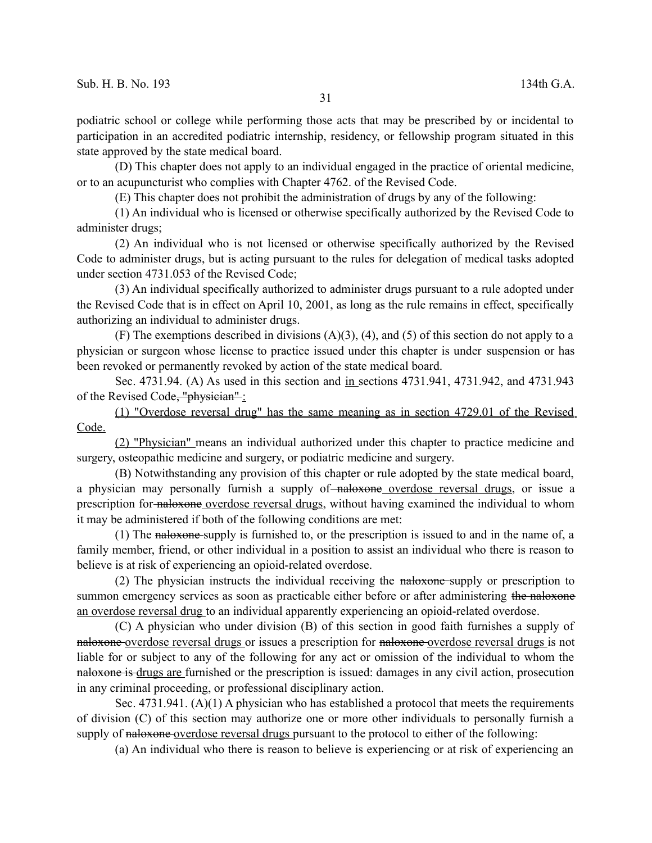podiatric school or college while performing those acts that may be prescribed by or incidental to participation in an accredited podiatric internship, residency, or fellowship program situated in this state approved by the state medical board.

(D) This chapter does not apply to an individual engaged in the practice of oriental medicine, or to an acupuncturist who complies with Chapter 4762. of the Revised Code.

(E) This chapter does not prohibit the administration of drugs by any of the following:

(1) An individual who is licensed or otherwise specifically authorized by the Revised Code to administer drugs;

(2) An individual who is not licensed or otherwise specifically authorized by the Revised Code to administer drugs, but is acting pursuant to the rules for delegation of medical tasks adopted under section 4731.053 of the Revised Code;

(3) An individual specifically authorized to administer drugs pursuant to a rule adopted under the Revised Code that is in effect on April 10, 2001, as long as the rule remains in effect, specifically authorizing an individual to administer drugs.

(F) The exemptions described in divisions (A)(3), (4), and (5) of this section do not apply to a physician or surgeon whose license to practice issued under this chapter is under suspension or has been revoked or permanently revoked by action of the state medical board.

Sec. 4731.94. (A) As used in this section and in sections 4731.941, 4731.942, and 4731.943 of the Revised Code, "physician" :

(1) "Overdose reversal drug" has the same meaning as in section 4729.01 of the Revised Code.

(2) "Physician" means an individual authorized under this chapter to practice medicine and surgery, osteopathic medicine and surgery, or podiatric medicine and surgery.

(B) Notwithstanding any provision of this chapter or rule adopted by the state medical board, a physician may personally furnish a supply of-naloxone overdose reversal drugs, or issue a prescription for naloxone overdose reversal drugs, without having examined the individual to whom it may be administered if both of the following conditions are met:

(1) The naloxone supply is furnished to, or the prescription is issued to and in the name of, a family member, friend, or other individual in a position to assist an individual who there is reason to believe is at risk of experiencing an opioid-related overdose.

(2) The physician instructs the individual receiving the  $n =$  naloxone-supply or prescription to summon emergency services as soon as practicable either before or after administering the naloxone an overdose reversal drug to an individual apparently experiencing an opioid-related overdose.

(C) A physician who under division (B) of this section in good faith furnishes a supply of naloxone-overdose reversal drugs or issues a prescription for naloxone-overdose reversal drugs is not liable for or subject to any of the following for any act or omission of the individual to whom the naloxone is drugs are furnished or the prescription is issued: damages in any civil action, prosecution in any criminal proceeding, or professional disciplinary action.

Sec. 4731.941. (A)(1) A physician who has established a protocol that meets the requirements of division (C) of this section may authorize one or more other individuals to personally furnish a supply of naloxone-overdose reversal drugs pursuant to the protocol to either of the following:

(a) An individual who there is reason to believe is experiencing or at risk of experiencing an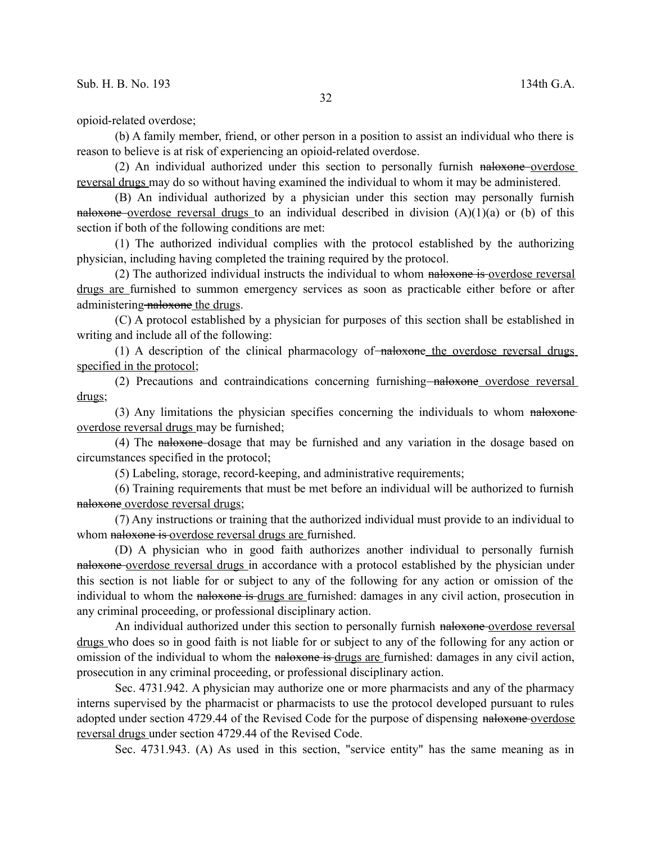opioid-related overdose;

(b) A family member, friend, or other person in a position to assist an individual who there is reason to believe is at risk of experiencing an opioid-related overdose.

(2) An individual authorized under this section to personally furnish naloxone overdose reversal drugs may do so without having examined the individual to whom it may be administered.

(B) An individual authorized by a physician under this section may personally furnish naloxone overdose reversal drugs to an individual described in division  $(A)(1)(a)$  or (b) of this section if both of the following conditions are met:

(1) The authorized individual complies with the protocol established by the authorizing physician, including having completed the training required by the protocol.

(2) The authorized individual instructs the individual to whom naloxone is overdose reversal drugs are furnished to summon emergency services as soon as practicable either before or after administering naloxone the drugs.

(C) A protocol established by a physician for purposes of this section shall be established in writing and include all of the following:

 $(1)$  A description of the clinical pharmacology of  $\overline{\phantom{a}}$  naloxone the overdose reversal drugs specified in the protocol;

(2) Precautions and contraindications concerning furnishing<del>-naloxone</del> overdose reversal drugs;

(3) Any limitations the physician specifies concerning the individuals to whom naloxone overdose reversal drugs may be furnished;

(4) The naloxone dosage that may be furnished and any variation in the dosage based on circumstances specified in the protocol;

(5) Labeling, storage, record-keeping, and administrative requirements;

(6) Training requirements that must be met before an individual will be authorized to furnish naloxone overdose reversal drugs;

(7) Any instructions or training that the authorized individual must provide to an individual to whom naloxone is overdose reversal drugs are furnished.

(D) A physician who in good faith authorizes another individual to personally furnish naloxone overdose reversal drugs in accordance with a protocol established by the physician under this section is not liable for or subject to any of the following for any action or omission of the individual to whom the naloxone is drugs are furnished: damages in any civil action, prosecution in any criminal proceeding, or professional disciplinary action.

An individual authorized under this section to personally furnish naloxone-overdose reversal drugs who does so in good faith is not liable for or subject to any of the following for any action or omission of the individual to whom the naloxone is drugs are furnished: damages in any civil action, prosecution in any criminal proceeding, or professional disciplinary action.

Sec. 4731.942. A physician may authorize one or more pharmacists and any of the pharmacy interns supervised by the pharmacist or pharmacists to use the protocol developed pursuant to rules adopted under section 4729.44 of the Revised Code for the purpose of dispensing naloxone-overdose reversal drugs under section 4729.44 of the Revised Code.

Sec. 4731.943. (A) As used in this section, "service entity" has the same meaning as in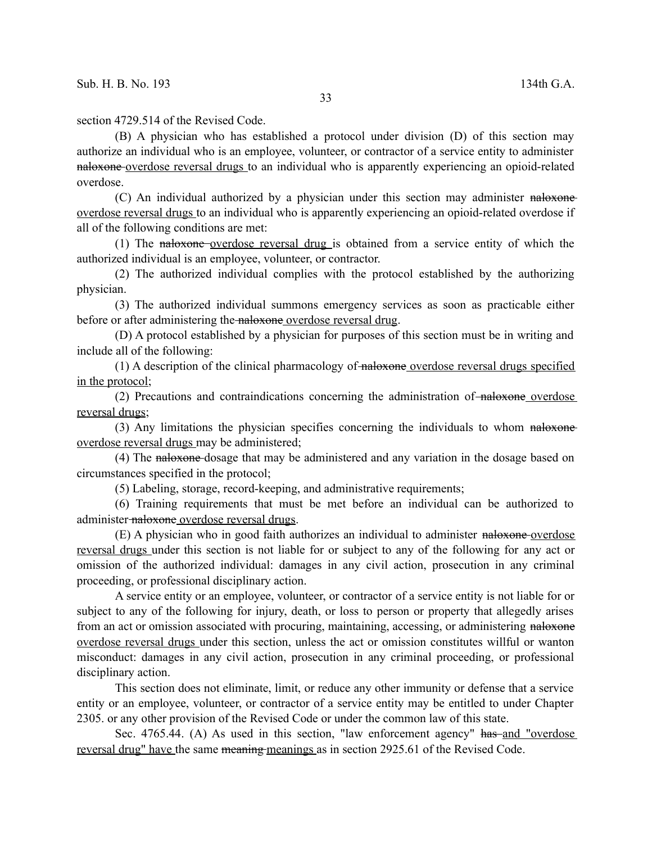section 4729.514 of the Revised Code.

(B) A physician who has established a protocol under division (D) of this section may authorize an individual who is an employee, volunteer, or contractor of a service entity to administer naloxone overdose reversal drugs to an individual who is apparently experiencing an opioid-related overdose.

(C) An individual authorized by a physician under this section may administer naloxone overdose reversal drugs to an individual who is apparently experiencing an opioid-related overdose if all of the following conditions are met:

(1) The naloxone overdose reversal drug is obtained from a service entity of which the authorized individual is an employee, volunteer, or contractor.

(2) The authorized individual complies with the protocol established by the authorizing physician.

(3) The authorized individual summons emergency services as soon as practicable either before or after administering the naloxone overdose reversal drug.

(D) A protocol established by a physician for purposes of this section must be in writing and include all of the following:

(1) A description of the clinical pharmacology of naloxone overdose reversal drugs specified in the protocol;

(2) Precautions and contraindications concerning the administration of  $\frac{1}{\text{haloxone}}$  overdose reversal drugs;

(3) Any limitations the physician specifies concerning the individuals to whom naloxone overdose reversal drugs may be administered;

(4) The naloxone dosage that may be administered and any variation in the dosage based on circumstances specified in the protocol;

(5) Labeling, storage, record-keeping, and administrative requirements;

(6) Training requirements that must be met before an individual can be authorized to administer-naloxone overdose reversal drugs.

(E) A physician who in good faith authorizes an individual to administer naloxone overdose reversal drugs under this section is not liable for or subject to any of the following for any act or omission of the authorized individual: damages in any civil action, prosecution in any criminal proceeding, or professional disciplinary action.

A service entity or an employee, volunteer, or contractor of a service entity is not liable for or subject to any of the following for injury, death, or loss to person or property that allegedly arises from an act or omission associated with procuring, maintaining, accessing, or administering naloxone overdose reversal drugs under this section, unless the act or omission constitutes willful or wanton misconduct: damages in any civil action, prosecution in any criminal proceeding, or professional disciplinary action.

This section does not eliminate, limit, or reduce any other immunity or defense that a service entity or an employee, volunteer, or contractor of a service entity may be entitled to under Chapter 2305. or any other provision of the Revised Code or under the common law of this state.

Sec. 4765.44. (A) As used in this section, "law enforcement agency" has and "overdose reversal drug" have the same meaning meanings as in section 2925.61 of the Revised Code.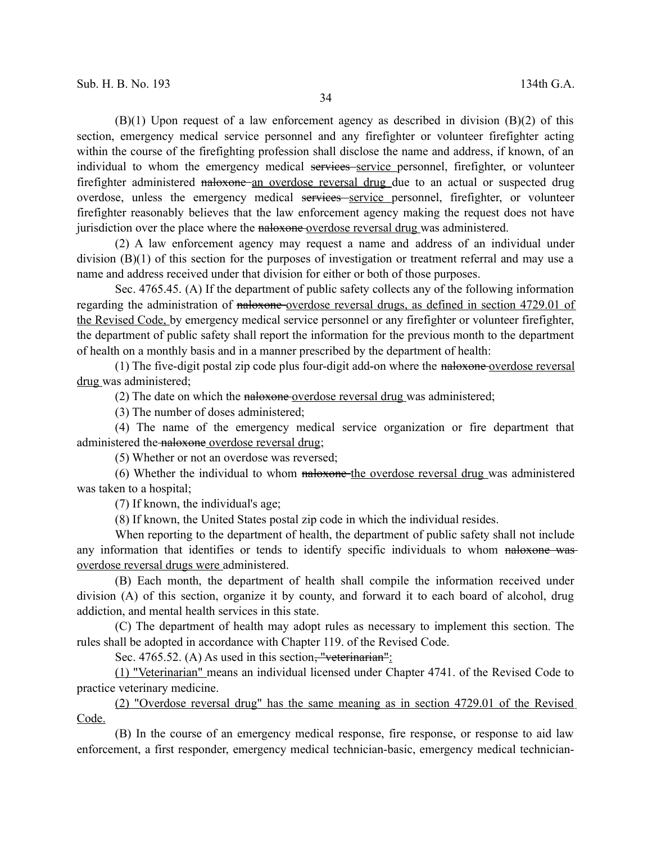$(B)(1)$  Upon request of a law enforcement agency as described in division  $(B)(2)$  of this section, emergency medical service personnel and any firefighter or volunteer firefighter acting within the course of the firefighting profession shall disclose the name and address, if known, of an individual to whom the emergency medical services service personnel, firefighter, or volunteer firefighter administered naloxone an overdose reversal drug due to an actual or suspected drug overdose, unless the emergency medical services service personnel, firefighter, or volunteer firefighter reasonably believes that the law enforcement agency making the request does not have jurisdiction over the place where the naloxone overdose reversal drug was administered.

(2) A law enforcement agency may request a name and address of an individual under division (B)(1) of this section for the purposes of investigation or treatment referral and may use a name and address received under that division for either or both of those purposes.

Sec. 4765.45. (A) If the department of public safety collects any of the following information regarding the administration of naloxone overdose reversal drugs, as defined in section 4729.01 of the Revised Code, by emergency medical service personnel or any firefighter or volunteer firefighter, the department of public safety shall report the information for the previous month to the department of health on a monthly basis and in a manner prescribed by the department of health:

(1) The five-digit postal zip code plus four-digit add-on where the naloxone overdose reversal drug was administered;

(2) The date on which the naloxone overdose reversal drug was administered;

(3) The number of doses administered;

(4) The name of the emergency medical service organization or fire department that administered the naloxone overdose reversal drug;

(5) Whether or not an overdose was reversed;

(6) Whether the individual to whom naloxone the overdose reversal drug was administered was taken to a hospital;

(7) If known, the individual's age;

(8) If known, the United States postal zip code in which the individual resides.

When reporting to the department of health, the department of public safety shall not include any information that identifies or tends to identify specific individuals to whom naloxone was overdose reversal drugs were administered.

(B) Each month, the department of health shall compile the information received under division (A) of this section, organize it by county, and forward it to each board of alcohol, drug addiction, and mental health services in this state.

(C) The department of health may adopt rules as necessary to implement this section. The rules shall be adopted in accordance with Chapter 119. of the Revised Code.

Sec. 4765.52. (A) As used in this section, "veterinarian":

(1) "Veterinarian" means an individual licensed under Chapter 4741. of the Revised Code to practice veterinary medicine.

(2) "Overdose reversal drug" has the same meaning as in section 4729.01 of the Revised Code.

(B) In the course of an emergency medical response, fire response, or response to aid law enforcement, a first responder, emergency medical technician-basic, emergency medical technician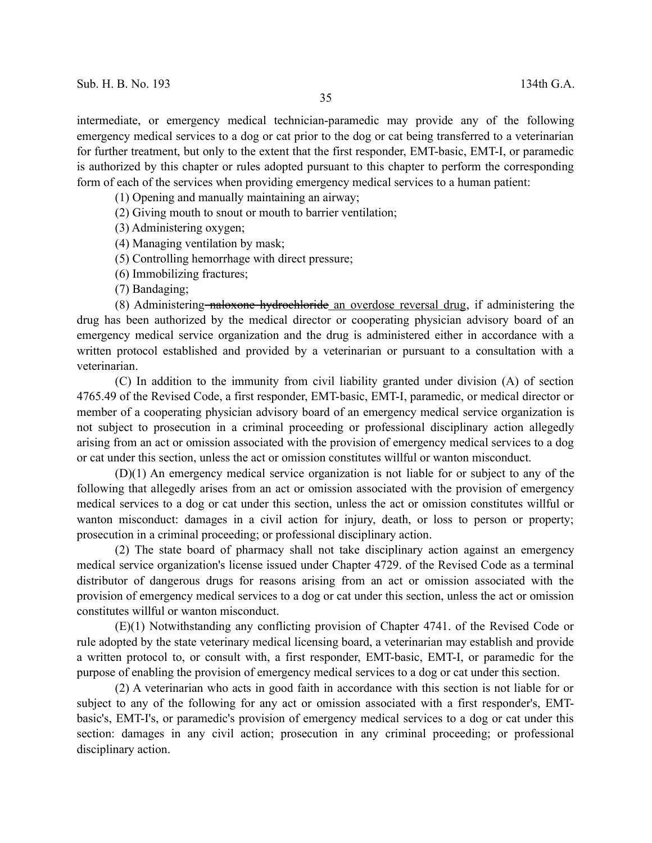intermediate, or emergency medical technician-paramedic may provide any of the following emergency medical services to a dog or cat prior to the dog or cat being transferred to a veterinarian for further treatment, but only to the extent that the first responder, EMT-basic, EMT-I, or paramedic is authorized by this chapter or rules adopted pursuant to this chapter to perform the corresponding form of each of the services when providing emergency medical services to a human patient:

(1) Opening and manually maintaining an airway;

(2) Giving mouth to snout or mouth to barrier ventilation;

(3) Administering oxygen;

(4) Managing ventilation by mask;

(5) Controlling hemorrhage with direct pressure;

(6) Immobilizing fractures;

(7) Bandaging;

(8) Administering naloxone hydrochloride an overdose reversal drug, if administering the drug has been authorized by the medical director or cooperating physician advisory board of an emergency medical service organization and the drug is administered either in accordance with a written protocol established and provided by a veterinarian or pursuant to a consultation with a veterinarian.

(C) In addition to the immunity from civil liability granted under division (A) of section 4765.49 of the Revised Code, a first responder, EMT-basic, EMT-I, paramedic, or medical director or member of a cooperating physician advisory board of an emergency medical service organization is not subject to prosecution in a criminal proceeding or professional disciplinary action allegedly arising from an act or omission associated with the provision of emergency medical services to a dog or cat under this section, unless the act or omission constitutes willful or wanton misconduct.

(D)(1) An emergency medical service organization is not liable for or subject to any of the following that allegedly arises from an act or omission associated with the provision of emergency medical services to a dog or cat under this section, unless the act or omission constitutes willful or wanton misconduct: damages in a civil action for injury, death, or loss to person or property; prosecution in a criminal proceeding; or professional disciplinary action.

(2) The state board of pharmacy shall not take disciplinary action against an emergency medical service organization's license issued under Chapter 4729. of the Revised Code as a terminal distributor of dangerous drugs for reasons arising from an act or omission associated with the provision of emergency medical services to a dog or cat under this section, unless the act or omission constitutes willful or wanton misconduct.

(E)(1) Notwithstanding any conflicting provision of Chapter 4741. of the Revised Code or rule adopted by the state veterinary medical licensing board, a veterinarian may establish and provide a written protocol to, or consult with, a first responder, EMT-basic, EMT-I, or paramedic for the purpose of enabling the provision of emergency medical services to a dog or cat under this section.

(2) A veterinarian who acts in good faith in accordance with this section is not liable for or subject to any of the following for any act or omission associated with a first responder's, EMTbasic's, EMT-I's, or paramedic's provision of emergency medical services to a dog or cat under this section: damages in any civil action; prosecution in any criminal proceeding; or professional disciplinary action.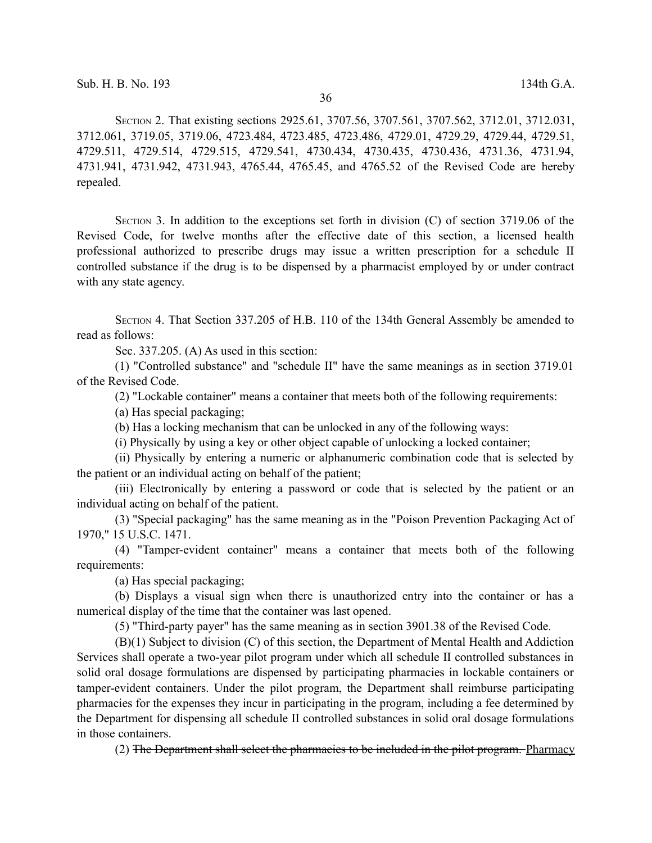SECTION 2. That existing sections 2925.61, 3707.56, 3707.561, 3707.562, 3712.01, 3712.031, 3712.061, 3719.05, 3719.06, 4723.484, 4723.485, 4723.486, 4729.01, 4729.29, 4729.44, 4729.51, 4729.511, 4729.514, 4729.515, 4729.541, 4730.434, 4730.435, 4730.436, 4731.36, 4731.94, 4731.941, 4731.942, 4731.943, 4765.44, 4765.45, and 4765.52 of the Revised Code are hereby repealed.

SECTION 3. In addition to the exceptions set forth in division (C) of section 3719.06 of the Revised Code, for twelve months after the effective date of this section, a licensed health professional authorized to prescribe drugs may issue a written prescription for a schedule II controlled substance if the drug is to be dispensed by a pharmacist employed by or under contract with any state agency.

SECTION 4. That Section 337.205 of H.B. 110 of the 134th General Assembly be amended to read as follows:

Sec. 337.205. (A) As used in this section:

(1) "Controlled substance" and "schedule II" have the same meanings as in section 3719.01 of the Revised Code.

(2) "Lockable container" means a container that meets both of the following requirements:

(a) Has special packaging;

(b) Has a locking mechanism that can be unlocked in any of the following ways:

(i) Physically by using a key or other object capable of unlocking a locked container;

(ii) Physically by entering a numeric or alphanumeric combination code that is selected by the patient or an individual acting on behalf of the patient;

(iii) Electronically by entering a password or code that is selected by the patient or an individual acting on behalf of the patient.

(3) "Special packaging" has the same meaning as in the "Poison Prevention Packaging Act of 1970," 15 U.S.C. 1471.

(4) "Tamper-evident container" means a container that meets both of the following requirements:

(a) Has special packaging;

(b) Displays a visual sign when there is unauthorized entry into the container or has a numerical display of the time that the container was last opened.

(5) "Third-party payer" has the same meaning as in section 3901.38 of the Revised Code.

(B)(1) Subject to division (C) of this section, the Department of Mental Health and Addiction Services shall operate a two-year pilot program under which all schedule II controlled substances in solid oral dosage formulations are dispensed by participating pharmacies in lockable containers or tamper-evident containers. Under the pilot program, the Department shall reimburse participating pharmacies for the expenses they incur in participating in the program, including a fee determined by the Department for dispensing all schedule II controlled substances in solid oral dosage formulations in those containers.

(2) The Department shall select the pharmacies to be included in the pilot program. Pharmacy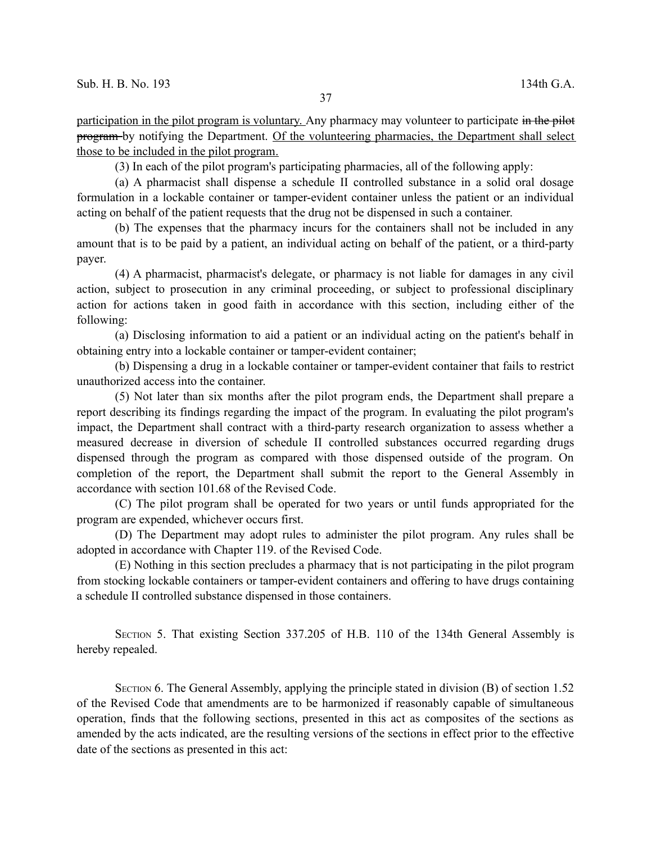participation in the pilot program is voluntary. Any pharmacy may volunteer to participate in the pilot program by notifying the Department. Of the volunteering pharmacies, the Department shall select those to be included in the pilot program.

(3) In each of the pilot program's participating pharmacies, all of the following apply:

(a) A pharmacist shall dispense a schedule II controlled substance in a solid oral dosage formulation in a lockable container or tamper-evident container unless the patient or an individual acting on behalf of the patient requests that the drug not be dispensed in such a container.

(b) The expenses that the pharmacy incurs for the containers shall not be included in any amount that is to be paid by a patient, an individual acting on behalf of the patient, or a third-party payer.

(4) A pharmacist, pharmacist's delegate, or pharmacy is not liable for damages in any civil action, subject to prosecution in any criminal proceeding, or subject to professional disciplinary action for actions taken in good faith in accordance with this section, including either of the following:

(a) Disclosing information to aid a patient or an individual acting on the patient's behalf in obtaining entry into a lockable container or tamper-evident container;

(b) Dispensing a drug in a lockable container or tamper-evident container that fails to restrict unauthorized access into the container.

(5) Not later than six months after the pilot program ends, the Department shall prepare a report describing its findings regarding the impact of the program. In evaluating the pilot program's impact, the Department shall contract with a third-party research organization to assess whether a measured decrease in diversion of schedule II controlled substances occurred regarding drugs dispensed through the program as compared with those dispensed outside of the program. On completion of the report, the Department shall submit the report to the General Assembly in accordance with section 101.68 of the Revised Code.

(C) The pilot program shall be operated for two years or until funds appropriated for the program are expended, whichever occurs first.

(D) The Department may adopt rules to administer the pilot program. Any rules shall be adopted in accordance with Chapter 119. of the Revised Code.

(E) Nothing in this section precludes a pharmacy that is not participating in the pilot program from stocking lockable containers or tamper-evident containers and offering to have drugs containing a schedule II controlled substance dispensed in those containers.

SECTION 5. That existing Section 337.205 of H.B. 110 of the 134th General Assembly is hereby repealed.

SECTION 6. The General Assembly, applying the principle stated in division (B) of section 1.52 of the Revised Code that amendments are to be harmonized if reasonably capable of simultaneous operation, finds that the following sections, presented in this act as composites of the sections as amended by the acts indicated, are the resulting versions of the sections in effect prior to the effective date of the sections as presented in this act: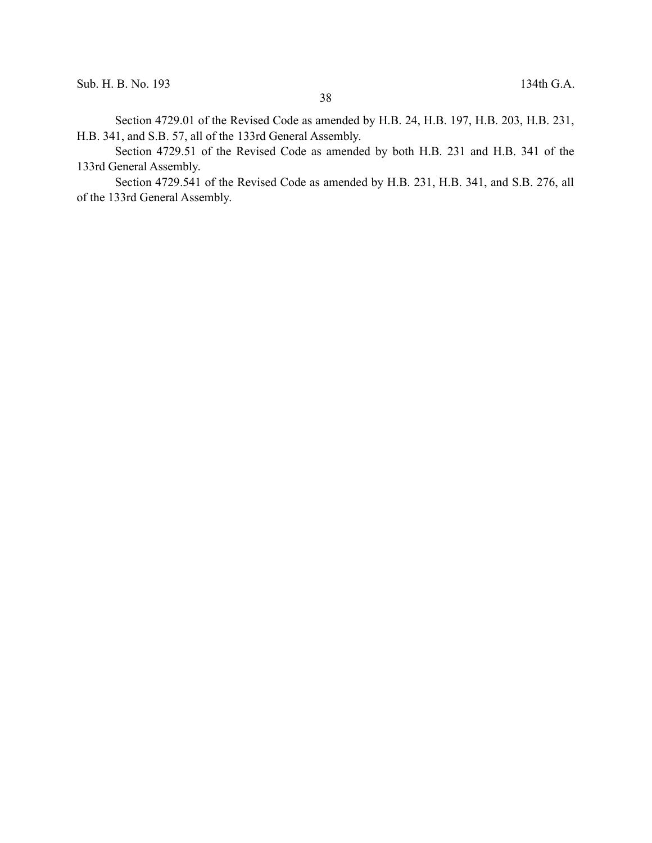Section 4729.01 of the Revised Code as amended by H.B. 24, H.B. 197, H.B. 203, H.B. 231, H.B. 341, and S.B. 57, all of the 133rd General Assembly.

Section 4729.51 of the Revised Code as amended by both H.B. 231 and H.B. 341 of the 133rd General Assembly.

Section 4729.541 of the Revised Code as amended by H.B. 231, H.B. 341, and S.B. 276, all of the 133rd General Assembly.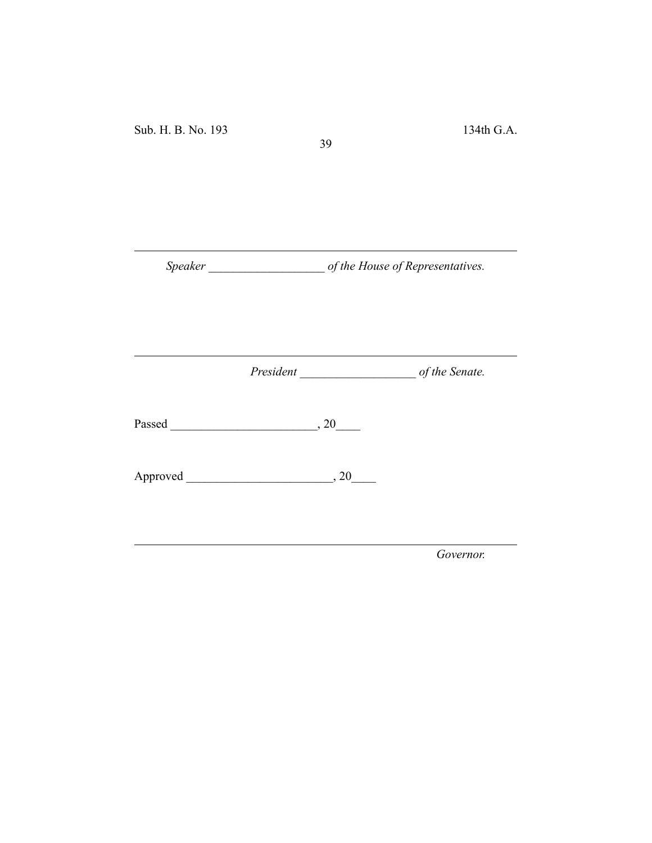*Speaker \_\_\_\_\_\_\_\_\_\_\_\_\_\_\_\_\_\_\_ of the House of Representatives.*

39

*President \_\_\_\_\_\_\_\_\_\_\_\_\_\_\_\_\_\_\_ of the Senate.*

Passed \_\_\_\_\_\_\_\_\_\_\_\_\_\_\_\_\_\_\_\_\_\_\_\_, 20\_\_\_\_

Approved \_\_\_\_\_\_\_\_\_\_\_\_\_\_\_\_\_\_\_\_\_\_\_\_, 20\_\_\_\_

*Governor.*